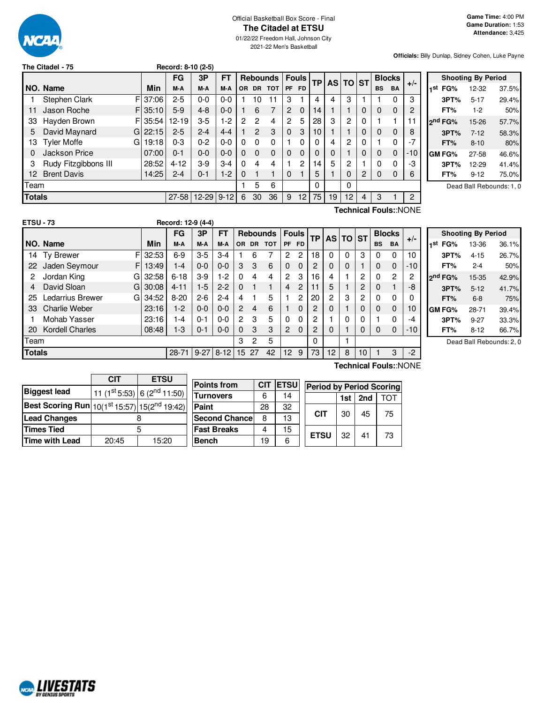

# Official Basketball Box Score - Final **The Citadel at ETSU**

01/22/22 Freedom Hall, Johnson City 2021-22 Men's Basketball

**Officials:** Billy Dunlap, Sidney Cohen, Luke Payne

|               | The Citadel - 75      |            | Record: 8-10 (2-5) |                |           |           |                |                 |                |              |           |    |                |           |              |               |                |         |
|---------------|-----------------------|------------|--------------------|----------------|-----------|-----------|----------------|-----------------|----------------|--------------|-----------|----|----------------|-----------|--------------|---------------|----------------|---------|
|               |                       |            | FG                 | 3P             | <b>FT</b> |           |                | <b>Rebounds</b> |                | <b>Fouls</b> | <b>TP</b> |    | AS TO          | <b>ST</b> |              | <b>Blocks</b> |                |         |
|               | NO. Name              | Min        | M-A                | M-A            | M-A       | <b>OR</b> | DR.            | <b>TOT</b>      |                | PF FD        |           |    |                |           | <b>BS</b>    | <b>BA</b>     | $+/-$          | 1st     |
|               | Stephen Clark         | F 37:06    | $2 - 5$            | $0 - 0$        | $0-0$     |           | 10             | 11              | 3              |              | 4         | 4  | 3              |           |              | 0             | 3              |         |
| 11            | Jason Roche           | $FI$ 35:10 | $5-9$              | $4 - 8$        | $0 - 0$   |           | 6              |                 | $\overline{2}$ | $\Omega$     | 14        |    |                | 0         | 0            | 0             | 2              |         |
| 33            | Hayden Brown          | FI35:54    | $12 - 19$          | $3-5$          | $1-2$     | 2         | $\overline{c}$ | 4               | $\overline{2}$ | 5            | 28        | 3  | $\overline{c}$ | $\Omega$  |              |               | 11             | $2^{n}$ |
| 5             | David Maynard         | G122:15    | $2 - 5$            | $2 - 4$        | $4 - 4$   |           | $\mathcal{P}$  | 3               | $\mathbf{0}$   | 3            | 10        |    |                | 0         | 0            | 0             | 8              |         |
| 13            | <b>Tyler Moffe</b>    | 19:18<br>G | $0 - 3$            | $0 - 2$        | $0 - 0$   | $\Omega$  | $\Omega$       | $\Omega$        | 1              | $\Omega$     | 0         | 4  | 2              | 0         |              | 0             | $-7$           |         |
| 0             | Jackson Price         | 07:00      | $0 - 1$            | $0 - 0$        | $0 - 0$   | $\Omega$  | $\Omega$       | $\Omega$        | $\Omega$       | $\Omega$     | 0         | 0  |                | 0         | 0            | 0             | $-10$          | GN      |
| 3             | Rudy Fitzgibbons III  | 28:52      | $4 - 12$           | $3-9$          | $3-4$     | $\Omega$  | 4              | 4               |                | 2            | 14        | 5  | 2              |           | $\mathbf{0}$ | 0             | -3             |         |
| 12            | <b>Brent Davis</b>    | 14:25      | $2 - 4$            | $0 - 1$        | $1 - 2$   | $\Omega$  |                |                 | $\Omega$       |              | 5         |    | 0              | 2         | $\Omega$     | 0             | 6              |         |
| Team          |                       |            |                    |                |           |           | 5              | 6               |                |              | 0         |    | 0              |           |              |               |                |         |
| <b>Totals</b> |                       |            | $27 - 58$          | $12 - 29$ 9-12 |           | 6         | 30             | 36              | 9              | 12           | 75        | 19 | 12             | 4         | 3            |               | $\overline{2}$ |         |
|               | Technical Fouls::NONE |            |                    |                |           |           |                |                 |                |              |           |    |                |           |              |               |                |         |

|     |                     | <b>Shooting By Period</b> |       |
|-----|---------------------|---------------------------|-------|
| 1st | FG%                 | 12-32                     | 37.5% |
|     | 3PT%                | $5 - 17$                  | 29.4% |
|     | FT%                 | $1-2$                     | 50%   |
|     | 2 <sup>nd</sup> FG% | 15-26                     | 57.7% |
|     | 3PT%                | $7 - 12$                  | 58.3% |
|     | FT%                 | $8 - 10$                  | 80%   |
|     | GM FG%              | 27-58                     | 46.6% |
|     | 3PT%                | 12-29                     | 41.4% |
|     | FT%                 | $9 - 12$                  | 75.0% |

Dead Ball Rebounds: 1, 0

| <b>ETSU - 73</b> |                  |            | Record: 12-9 (4-4) |         |             |                |           |                 |                |              |    |          |   |                |           |                |                |
|------------------|------------------|------------|--------------------|---------|-------------|----------------|-----------|-----------------|----------------|--------------|----|----------|---|----------------|-----------|----------------|----------------|
|                  |                  |            | FG                 | 3P      | FT          |                |           | <b>Rebounds</b> |                | <b>Fouls</b> | ТP | AS TO ST |   |                |           | <b>Blocks</b>  | $+/-$          |
|                  | NO. Name         | Min        | M-A                | M-A     | M-A         | OR.            | <b>DR</b> | <b>TOT</b>      | PF             | <b>FD</b>    |    |          |   |                | <b>BS</b> | <b>BA</b>      |                |
| 14.              | Ty Brewer        | F<br>32:53 | $6-9$              | $3-5$   | $3-4$       |                | 6         | 7               | 2              | 2            | 18 | 0        | 0 | 3              | 0         | 0              | 10             |
| 22               | Jaden Seymour    | F<br>13:49 | $1 - 4$            | $0 - 0$ | $0 - 0$     | 3              | 3         | 6               | 0              | $\Omega$     | 2  | 0        | 0 |                | $\Omega$  | $\mathbf 0$    | $-10$          |
| 2                | Jordan King      | 32:58<br>G | $6 - 18$           | $3-9$   | $1-2$       | $\Omega$       | 4         | 4               | $\mathbf{2}$   | 3            | 16 | 4        |   | $\overline{2}$ | 0         | $\overline{2}$ | $\overline{c}$ |
| 4                | David Sloan      | G<br>30:08 | $4 - 11$           | $1 - 5$ | $2 - 2$     | $\Omega$       | 1         | 1               | 4              | 2            | 11 | 5        |   | 2              | $\Omega$  |                | -8             |
| 25               | Ledarrius Brewer | 34:52<br>G | $8 - 20$           | $2 - 6$ | $2 - 4$     | 4              |           | 5               |                | 2            | 20 | 2        | 3 | 2              | 0         | 0              | 0              |
| 33               | Charlie Weber    | 23:16      | 1-2                | $0 - 0$ | $0 - 0$     | $\overline{2}$ | 4         | 6               |                | 0            | 2  | 0        |   | $\Omega$       | $\Omega$  | $\mathbf 0$    | 10             |
|                  | Mohab Yasser     | 23:16      | $ -4$              | $0 - 1$ | $0 - 0$     | $\overline{2}$ | 3         | 5               | 0              | 0            | 2  |          | 0 | $\Omega$       |           | 0              | -4             |
| 20               | Kordell Charles  | 08:48      | 1-3                | $0 - 1$ | $0 - 0$     | $\Omega$       | 3         | 3               | $\overline{2}$ | 0            | 2  | 0        |   | $\Omega$       | $\Omega$  | $\Omega$       | $-10$          |
| Team             |                  |            |                    |         |             | з              | 2         | 5               |                |              | 0  |          |   |                |           |                |                |
| <b>Totals</b>    |                  |            | $28 - 71$          |         | $9-27$ 8-12 |                | 15 27     | 42              | 12             | 9            | 73 | 12       | 8 | 10             |           | 3              | $-2$           |

| G.<br>и<br>r<br>. . |  |
|---------------------|--|

|     | <b>Shooting By Period</b> |          |       |  |  |  |  |  |  |  |
|-----|---------------------------|----------|-------|--|--|--|--|--|--|--|
| 1st | FG%                       | 13-36    | 36.1% |  |  |  |  |  |  |  |
|     | 3PT%                      | $4 - 15$ | 26.7% |  |  |  |  |  |  |  |
|     | FT%                       | $2 - 4$  | 50%   |  |  |  |  |  |  |  |
|     | 2 <sup>nd</sup> FG%       | 15-35    | 42.9% |  |  |  |  |  |  |  |
|     | 3PT%                      | $5 - 12$ | 41.7% |  |  |  |  |  |  |  |
|     | FT%                       | $6 - 8$  | 75%   |  |  |  |  |  |  |  |
|     | <b>GM FG%</b>             | 28-71    | 39.4% |  |  |  |  |  |  |  |
|     | 3PT%                      | $9 - 27$ | 33.3% |  |  |  |  |  |  |  |
|     | FT%                       | 8-12     | 66.7% |  |  |  |  |  |  |  |
|     |                           |          |       |  |  |  |  |  |  |  |

Dead Ball Rebounds: 2, 0

|                                                                                 | CIT   | <b>ETSU</b>                 | P |  |  |
|---------------------------------------------------------------------------------|-------|-----------------------------|---|--|--|
| <b>Biggest lead</b>                                                             |       | 11 (1st 5:53) 6 (2nd 11:50) |   |  |  |
| Best Scoring Run $\left  10(1^{\rm st}15.57) \right $ 15(2 <sup>nd</sup> 19:42) |       |                             | P |  |  |
| <b>Lead Changes</b>                                                             |       |                             |   |  |  |
| <b>Times Tied</b>                                                               |       |                             |   |  |  |
| <b>Time with Lead</b>                                                           | 20:45 | 15:20                       | в |  |  |

| <b>Points from</b>    | <b>CIT</b> | <b>ETSU</b> | <b>Period by Period Scoring</b> |     |     |    |  |
|-----------------------|------------|-------------|---------------------------------|-----|-----|----|--|
| <b>Turnovers</b>      | 6          | 14          |                                 | 1st | 2nd |    |  |
| Paint                 | 28         | 32          |                                 | 30  | 45  |    |  |
| <b>Second Chancel</b> | 8          | 13          | <b>CIT</b>                      |     |     | 75 |  |
| <b>Fast Breaks</b>    |            | 15          |                                 |     |     |    |  |
| <b>Bench</b>          | 19         | 6           | <b>ETSU</b>                     | 32  | 41  | 73 |  |

**Technical Fouls:**:NONE

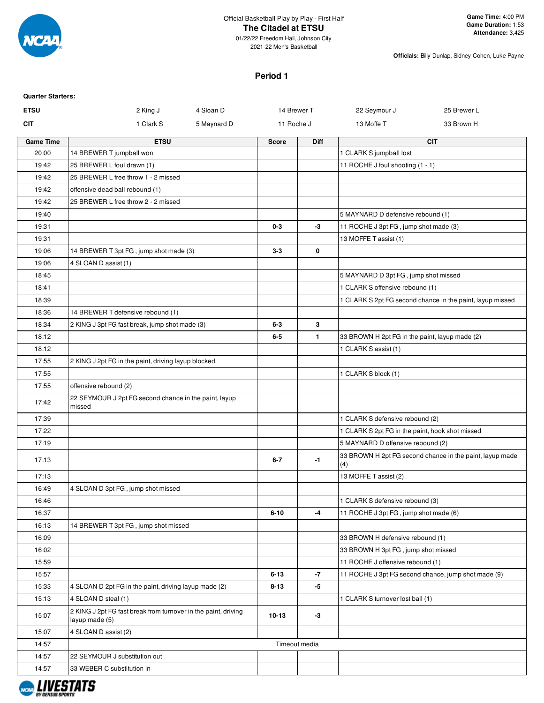

01/22/22 Freedom Hall, Johnson City 2021-22 Men's Basketball

**Officials:** Billy Dunlap, Sidney Cohen, Luke Payne

# **Period 1**

| <b>Quarter Starters:</b> |                                                                                  |              |               |                                                 |                                                           |
|--------------------------|----------------------------------------------------------------------------------|--------------|---------------|-------------------------------------------------|-----------------------------------------------------------|
| <b>ETSU</b>              | 2 King J<br>4 Sloan D                                                            | 14 Brewer T  |               | 22 Seymour J                                    | 25 Brewer L                                               |
| CIT                      | 1 Clark S<br>5 Maynard D                                                         | 11 Roche J   |               | 13 Moffe T                                      | 33 Brown H                                                |
| <b>Game Time</b>         | <b>ETSU</b>                                                                      | <b>Score</b> | <b>Diff</b>   |                                                 | <b>CIT</b>                                                |
| 20:00                    | 14 BREWER T jumpball won                                                         |              |               | 1 CLARK S jumpball lost                         |                                                           |
| 19:42                    | 25 BREWER L foul drawn (1)                                                       |              |               | 11 ROCHE J foul shooting (1 - 1)                |                                                           |
| 19:42                    | 25 BREWER L free throw 1 - 2 missed                                              |              |               |                                                 |                                                           |
| 19:42                    | offensive dead ball rebound (1)                                                  |              |               |                                                 |                                                           |
| 19:42                    | 25 BREWER L free throw 2 - 2 missed                                              |              |               |                                                 |                                                           |
| 19:40                    |                                                                                  |              |               | 5 MAYNARD D defensive rebound (1)               |                                                           |
| 19:31                    |                                                                                  | $0 - 3$      | $-3$          | 11 ROCHE J 3pt FG, jump shot made (3)           |                                                           |
| 19:31                    |                                                                                  |              |               | 13 MOFFE T assist (1)                           |                                                           |
| 19:06                    | 14 BREWER T 3pt FG, jump shot made (3)                                           | $3-3$        | 0             |                                                 |                                                           |
| 19:06                    | 4 SLOAN D assist (1)                                                             |              |               |                                                 |                                                           |
| 18:45                    |                                                                                  |              |               | 5 MAYNARD D 3pt FG, jump shot missed            |                                                           |
| 18:41                    |                                                                                  |              |               | 1 CLARK S offensive rebound (1)                 |                                                           |
| 18:39                    |                                                                                  |              |               |                                                 | 1 CLARK S 2pt FG second chance in the paint, layup missed |
| 18:36                    | 14 BREWER T defensive rebound (1)                                                |              |               |                                                 |                                                           |
| 18:34                    | 2 KING J 3pt FG fast break, jump shot made (3)                                   | $6 - 3$      | 3             |                                                 |                                                           |
| 18:12                    |                                                                                  | $6-5$        | $\mathbf{1}$  | 33 BROWN H 2pt FG in the paint, layup made (2)  |                                                           |
| 18:12                    |                                                                                  |              |               | 1 CLARK S assist (1)                            |                                                           |
| 17:55                    | 2 KING J 2pt FG in the paint, driving layup blocked                              |              |               |                                                 |                                                           |
| 17:55                    |                                                                                  |              |               | 1 CLARK S block (1)                             |                                                           |
| 17:55                    | offensive rebound (2)                                                            |              |               |                                                 |                                                           |
| 17:42                    | 22 SEYMOUR J 2pt FG second chance in the paint, layup<br>missed                  |              |               |                                                 |                                                           |
| 17:39                    |                                                                                  |              |               | 1 CLARK S defensive rebound (2)                 |                                                           |
| 17:22                    |                                                                                  |              |               | 1 CLARK S 2pt FG in the paint, hook shot missed |                                                           |
| 17:19                    |                                                                                  |              |               | 5 MAYNARD D offensive rebound (2)               |                                                           |
| 17:13                    |                                                                                  | $6 - 7$      | $-1$          | (4)                                             | 33 BROWN H 2pt FG second chance in the paint, layup made  |
| 17:13                    |                                                                                  |              |               | 13 MOFFE T assist (2)                           |                                                           |
| 16:49                    | 4 SLOAN D 3pt FG, jump shot missed                                               |              |               |                                                 |                                                           |
| 16:46                    |                                                                                  |              |               | 1 CLARK S defensive rebound (3)                 |                                                           |
| 16:37                    |                                                                                  | $6 - 10$     | -4            | 11 ROCHE J 3pt FG, jump shot made (6)           |                                                           |
| 16:13                    | 14 BREWER T 3pt FG, jump shot missed                                             |              |               |                                                 |                                                           |
| 16:09                    |                                                                                  |              |               | 33 BROWN H defensive rebound (1)                |                                                           |
| 16:02                    |                                                                                  |              |               | 33 BROWN H 3pt FG, jump shot missed             |                                                           |
| 15:59                    |                                                                                  |              |               | 11 ROCHE J offensive rebound (1)                |                                                           |
| 15:57                    |                                                                                  | $6 - 13$     | $-7$          |                                                 | 11 ROCHE J 3pt FG second chance, jump shot made (9)       |
| 15:33                    | 4 SLOAN D 2pt FG in the paint, driving layup made (2)                            | $8 - 13$     | $-5$          |                                                 |                                                           |
| 15:13                    | 4 SLOAN D steal (1)                                                              |              |               | 1 CLARK S turnover lost ball (1)                |                                                           |
| 15:07                    | 2 KING J 2pt FG fast break from turnover in the paint, driving<br>layup made (5) | $10 - 13$    | $-3$          |                                                 |                                                           |
| 15:07                    | 4 SLOAN D assist (2)                                                             |              |               |                                                 |                                                           |
| 14:57                    |                                                                                  |              | Timeout media |                                                 |                                                           |
| 14:57                    | 22 SEYMOUR J substitution out                                                    |              |               |                                                 |                                                           |
| 14:57                    | 33 WEBER C substitution in                                                       |              |               |                                                 |                                                           |
|                          |                                                                                  |              |               |                                                 |                                                           |

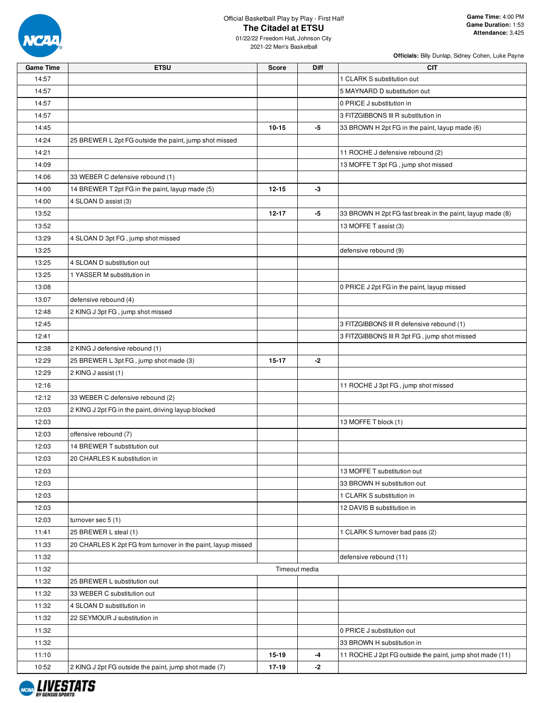

01/22/22 Freedom Hall, Johnson City 2021-22 Men's Basketball

| <b>Game Time</b> | <b>ETSU</b>                                                  | Score         | Diff | CIT.                                                      |
|------------------|--------------------------------------------------------------|---------------|------|-----------------------------------------------------------|
| 14:57            |                                                              |               |      | 1 CLARK S substitution out                                |
| 14:57            |                                                              |               |      | 5 MAYNARD D substitution out                              |
| 14:57            |                                                              |               |      | 0 PRICE J substitution in                                 |
| 14:57            |                                                              |               |      | 3 FITZGIBBONS III R substitution in                       |
| 14:45            |                                                              | $10 - 15$     | -5   | 33 BROWN H 2pt FG in the paint, layup made (6)            |
| 14:24            | 25 BREWER L 2pt FG outside the paint, jump shot missed       |               |      |                                                           |
| 14:21            |                                                              |               |      | 11 ROCHE J defensive rebound (2)                          |
| 14:09            |                                                              |               |      | 13 MOFFE T 3pt FG, jump shot missed                       |
| 14:06            | 33 WEBER C defensive rebound (1)                             |               |      |                                                           |
| 14:00            | 14 BREWER T 2pt FG in the paint, layup made (5)              | $12 - 15$     | $-3$ |                                                           |
| 14:00            | 4 SLOAN D assist (3)                                         |               |      |                                                           |
| 13:52            |                                                              | $12 - 17$     | -5   | 33 BROWN H 2pt FG fast break in the paint, layup made (8) |
| 13:52            |                                                              |               |      | 13 MOFFE T assist (3)                                     |
| 13:29            | 4 SLOAN D 3pt FG, jump shot missed                           |               |      |                                                           |
| 13:25            |                                                              |               |      | defensive rebound (9)                                     |
| 13:25            | 4 SLOAN D substitution out                                   |               |      |                                                           |
| 13:25            | 1 YASSER M substitution in                                   |               |      |                                                           |
| 13:08            |                                                              |               |      | 0 PRICE J 2pt FG in the paint, layup missed               |
| 13:07            | defensive rebound (4)                                        |               |      |                                                           |
| 12:48            | 2 KING J 3pt FG, jump shot missed                            |               |      |                                                           |
| 12:45            |                                                              |               |      | 3 FITZGIBBONS III R defensive rebound (1)                 |
| 12:41            |                                                              |               |      | 3 FITZGIBBONS III R 3pt FG, jump shot missed              |
| 12:38            | 2 KING J defensive rebound (1)                               |               |      |                                                           |
| 12:29            | 25 BREWER L 3pt FG, jump shot made (3)                       | 15-17         | $-2$ |                                                           |
| 12:29            | 2 KING J assist (1)                                          |               |      |                                                           |
| 12:16            |                                                              |               |      | 11 ROCHE J 3pt FG, jump shot missed                       |
| 12:12            | 33 WEBER C defensive rebound (2)                             |               |      |                                                           |
| 12:03            | 2 KING J 2pt FG in the paint, driving layup blocked          |               |      |                                                           |
| 12:03            |                                                              |               |      | 13 MOFFE T block (1)                                      |
| 12:03            | offensive rebound (7)                                        |               |      |                                                           |
| 12:03            | 14 BREWER T substitution out                                 |               |      |                                                           |
| 12:03            | 20 CHARLES K substitution in                                 |               |      |                                                           |
| 12:03            |                                                              |               |      | 13 MOFFE T substitution out                               |
| 12:03            |                                                              |               |      | 33 BROWN H substitution out                               |
| 12:03            |                                                              |               |      | 1 CLARK S substitution in                                 |
| 12:03            |                                                              |               |      | 12 DAVIS B substitution in                                |
| 12:03            | turnover sec $5(1)$                                          |               |      |                                                           |
| 11:41            | 25 BREWER L steal (1)                                        |               |      | 1 CLARK S turnover bad pass (2)                           |
| 11:33            | 20 CHARLES K 2pt FG from turnover in the paint, layup missed |               |      |                                                           |
| 11:32            |                                                              |               |      | defensive rebound (11)                                    |
| 11:32            |                                                              | Timeout media |      |                                                           |
| 11:32            | 25 BREWER L substitution out                                 |               |      |                                                           |
| 11:32            | 33 WEBER C substitution out                                  |               |      |                                                           |
| 11:32            | 4 SLOAN D substitution in                                    |               |      |                                                           |
| 11:32            | 22 SEYMOUR J substitution in                                 |               |      |                                                           |
| 11:32            |                                                              |               |      | 0 PRICE J substitution out                                |
| 11:32            |                                                              |               |      | 33 BROWN H substitution in                                |
| 11:10            |                                                              | $15 - 19$     | -4   | 11 ROCHE J 2pt FG outside the paint, jump shot made (11)  |
| 10:52            | 2 KING J 2pt FG outside the paint, jump shot made (7)        | 17-19         | $-2$ |                                                           |

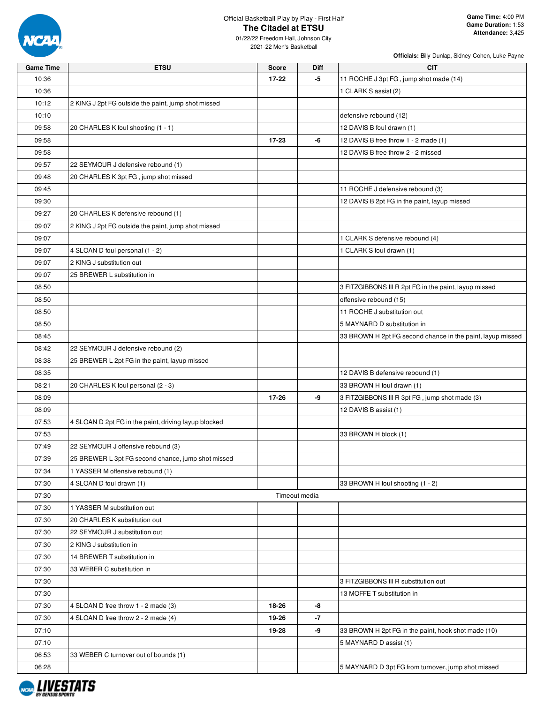

01/22/22 Freedom Hall, Johnson City 2021-22 Men's Basketball

| <b>Game Time</b> | <b>ETSU</b>                                          | <b>Score</b> | <b>Diff</b>   | <b>CIT</b>                                                 |
|------------------|------------------------------------------------------|--------------|---------------|------------------------------------------------------------|
| 10:36            |                                                      | $17 - 22$    | -5            | 11 ROCHE J 3pt FG, jump shot made (14)                     |
| 10:36            |                                                      |              |               | 1 CLARK S assist (2)                                       |
| 10:12            | 2 KING J 2pt FG outside the paint, jump shot missed  |              |               |                                                            |
| 10:10            |                                                      |              |               | defensive rebound (12)                                     |
| 09:58            | 20 CHARLES K foul shooting (1 - 1)                   |              |               | 12 DAVIS B foul drawn (1)                                  |
| 09:58            |                                                      | $17 - 23$    | -6            | 12 DAVIS B free throw 1 - 2 made (1)                       |
| 09:58            |                                                      |              |               | 12 DAVIS B free throw 2 - 2 missed                         |
| 09:57            | 22 SEYMOUR J defensive rebound (1)                   |              |               |                                                            |
| 09:48            | 20 CHARLES K 3pt FG, jump shot missed                |              |               |                                                            |
| 09:45            |                                                      |              |               | 11 ROCHE J defensive rebound (3)                           |
| 09:30            |                                                      |              |               | 12 DAVIS B 2pt FG in the paint, layup missed               |
| 09:27            | 20 CHARLES K defensive rebound (1)                   |              |               |                                                            |
| 09:07            | 2 KING J 2pt FG outside the paint, jump shot missed  |              |               |                                                            |
| 09:07            |                                                      |              |               | 1 CLARK S defensive rebound (4)                            |
| 09:07            | 4 SLOAN D foul personal (1 - 2)                      |              |               | 1 CLARK S foul drawn (1)                                   |
| 09:07            | 2 KING J substitution out                            |              |               |                                                            |
|                  |                                                      |              |               |                                                            |
| 09:07            | 25 BREWER L substitution in                          |              |               |                                                            |
| 08:50            |                                                      |              |               | 3 FITZGIBBONS III R 2pt FG in the paint, layup missed      |
| 08:50            |                                                      |              |               | offensive rebound (15)                                     |
| 08:50            |                                                      |              |               | 11 ROCHE J substitution out                                |
| 08:50            |                                                      |              |               | 5 MAYNARD D substitution in                                |
| 08:45            |                                                      |              |               | 33 BROWN H 2pt FG second chance in the paint, layup missed |
| 08:42            | 22 SEYMOUR J defensive rebound (2)                   |              |               |                                                            |
| 08:38            | 25 BREWER L 2pt FG in the paint, layup missed        |              |               |                                                            |
| 08:35            |                                                      |              |               | 12 DAVIS B defensive rebound (1)                           |
| 08:21            | 20 CHARLES K foul personal (2 - 3)                   |              |               | 33 BROWN H foul drawn (1)                                  |
| 08:09            |                                                      | 17-26        | -9            | 3 FITZGIBBONS III R 3pt FG, jump shot made (3)             |
| 08:09            |                                                      |              |               | 12 DAVIS B assist (1)                                      |
| 07:53            | 4 SLOAN D 2pt FG in the paint, driving layup blocked |              |               |                                                            |
| 07:53            |                                                      |              |               | 33 BROWN H block (1)                                       |
| 07:49            | 22 SEYMOUR J offensive rebound (3)                   |              |               |                                                            |
| 07:39            | 25 BREWER L 3pt FG second chance, jump shot missed   |              |               |                                                            |
| 07:34            | 1 YASSER M offensive rebound (1)                     |              |               |                                                            |
| 07:30            | 4 SLOAN D foul drawn (1)                             |              |               | 33 BROWN H foul shooting (1 - 2)                           |
| 07:30            |                                                      |              | Timeout media |                                                            |
| 07:30            | 1 YASSER M substitution out                          |              |               |                                                            |
| 07:30            | 20 CHARLES K substitution out                        |              |               |                                                            |
| 07:30            | 22 SEYMOUR J substitution out                        |              |               |                                                            |
| 07:30            | 2 KING J substitution in                             |              |               |                                                            |
| 07:30            | 14 BREWER T substitution in                          |              |               |                                                            |
| 07:30            | 33 WEBER C substitution in                           |              |               |                                                            |
| 07:30            |                                                      |              |               | 3 FITZGIBBONS III R substitution out                       |
| 07:30            |                                                      |              |               | 13 MOFFE T substitution in                                 |
| 07:30            | 4 SLOAN D free throw 1 - 2 made (3)                  | 18-26        | -8            |                                                            |
| 07:30            | 4 SLOAN D free throw 2 - 2 made (4)                  | 19-26        | -7            |                                                            |
| 07:10            |                                                      | 19-28        | -9            | 33 BROWN H 2pt FG in the paint, hook shot made (10)        |
| 07:10            |                                                      |              |               |                                                            |
|                  |                                                      |              |               | 5 MAYNARD D assist (1)                                     |
| 06:53            | 33 WEBER C turnover out of bounds (1)                |              |               |                                                            |
| 06:28            |                                                      |              |               | 5 MAYNARD D 3pt FG from turnover, jump shot missed         |

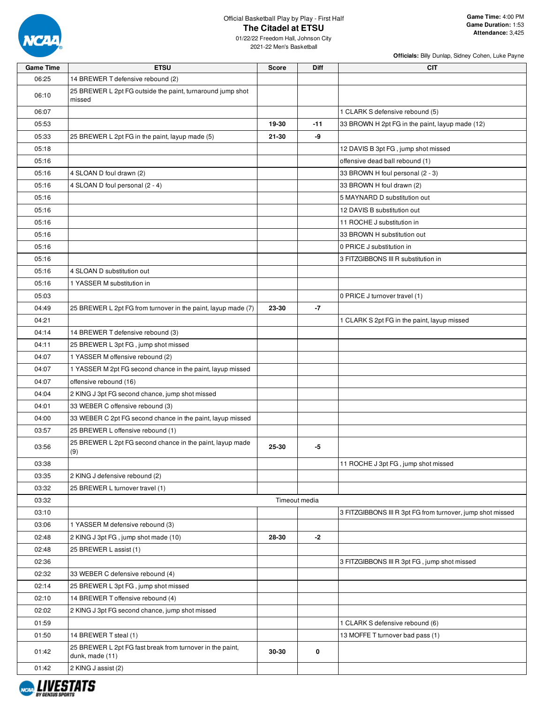

01/22/22 Freedom Hall, Johnson City 2021-22 Men's Basketball

| <b>Game Time</b> | <b>ETSU</b>                                                                  | <b>Score</b> | <b>Diff</b>   | CIT                                                        |
|------------------|------------------------------------------------------------------------------|--------------|---------------|------------------------------------------------------------|
| 06:25            | 14 BREWER T defensive rebound (2)                                            |              |               |                                                            |
| 06:10            | 25 BREWER L 2pt FG outside the paint, turnaround jump shot<br>missed         |              |               |                                                            |
| 06:07            |                                                                              |              |               | 1 CLARK S defensive rebound (5)                            |
| 05:53            |                                                                              | 19-30        | $-11$         | 33 BROWN H 2pt FG in the paint, layup made (12)            |
| 05:33            | 25 BREWER L 2pt FG in the paint, layup made (5)                              | 21-30        | -9            |                                                            |
| 05:18            |                                                                              |              |               | 12 DAVIS B 3pt FG, jump shot missed                        |
| 05:16            |                                                                              |              |               | offensive dead ball rebound (1)                            |
| 05:16            | 4 SLOAN D foul drawn (2)                                                     |              |               | 33 BROWN H foul personal (2 - 3)                           |
| 05:16            | 4 SLOAN D foul personal (2 - 4)                                              |              |               | 33 BROWN H foul drawn (2)                                  |
| 05:16            |                                                                              |              |               | 5 MAYNARD D substitution out                               |
| 05:16            |                                                                              |              |               | 12 DAVIS B substitution out                                |
| 05:16            |                                                                              |              |               | 11 ROCHE J substitution in                                 |
| 05:16            |                                                                              |              |               | 33 BROWN H substitution out                                |
| 05:16            |                                                                              |              |               | 0 PRICE J substitution in                                  |
| 05:16            |                                                                              |              |               | 3 FITZGIBBONS III R substitution in                        |
| 05:16            | 4 SLOAN D substitution out                                                   |              |               |                                                            |
| 05:16            | 1 YASSER M substitution in                                                   |              |               |                                                            |
| 05:03            |                                                                              |              |               | 0 PRICE J turnover travel (1)                              |
| 04:49            | 25 BREWER L 2pt FG from turnover in the paint, layup made (7)                | 23-30        | $-7$          |                                                            |
| 04:21            |                                                                              |              |               | 1 CLARK S 2pt FG in the paint, layup missed                |
| 04:14            | 14 BREWER T defensive rebound (3)                                            |              |               |                                                            |
| 04:11            | 25 BREWER L 3pt FG, jump shot missed                                         |              |               |                                                            |
| 04:07            | 1 YASSER M offensive rebound (2)                                             |              |               |                                                            |
| 04:07            | 1 YASSER M 2pt FG second chance in the paint, layup missed                   |              |               |                                                            |
| 04:07            | offensive rebound (16)                                                       |              |               |                                                            |
| 04:04            | 2 KING J 3pt FG second chance, jump shot missed                              |              |               |                                                            |
| 04:01            | 33 WEBER C offensive rebound (3)                                             |              |               |                                                            |
| 04:00            | 33 WEBER C 2pt FG second chance in the paint, layup missed                   |              |               |                                                            |
| 03:57            | 25 BREWER L offensive rebound (1)                                            |              |               |                                                            |
| 03:56            | 25 BREWER L 2pt FG second chance in the paint, layup made<br>(9)             | 25-30        | -5            |                                                            |
| 03:38            |                                                                              |              |               | 11 ROCHE J 3pt FG, jump shot missed                        |
| 03:35            | 2 KING J defensive rebound (2)                                               |              |               |                                                            |
| 03:32            | 25 BREWER L turnover travel (1)                                              |              |               |                                                            |
| 03:32            |                                                                              |              | Timeout media |                                                            |
| 03:10            |                                                                              |              |               | 3 FITZGIBBONS III R 3pt FG from turnover, jump shot missed |
| 03:06            | 1 YASSER M defensive rebound (3)                                             |              |               |                                                            |
| 02:48            | 2 KING J 3pt FG, jump shot made (10)                                         | 28-30        | -2            |                                                            |
| 02:48            | 25 BREWER L assist (1)                                                       |              |               |                                                            |
| 02:36            |                                                                              |              |               | 3 FITZGIBBONS III R 3pt FG, jump shot missed               |
| 02:32            | 33 WEBER C defensive rebound (4)                                             |              |               |                                                            |
| 02:14            | 25 BREWER L 3pt FG, jump shot missed                                         |              |               |                                                            |
| 02:10            | 14 BREWER T offensive rebound (4)                                            |              |               |                                                            |
| 02:02            | 2 KING J 3pt FG second chance, jump shot missed                              |              |               |                                                            |
| 01:59            |                                                                              |              |               | 1 CLARK S defensive rebound (6)                            |
| 01:50            | 14 BREWER T steal (1)                                                        |              |               | 13 MOFFE T turnover bad pass (1)                           |
| 01:42            | 25 BREWER L 2pt FG fast break from turnover in the paint,<br>dunk, made (11) | 30-30        | 0             |                                                            |
| 01:42            | 2 KING J assist (2)                                                          |              |               |                                                            |

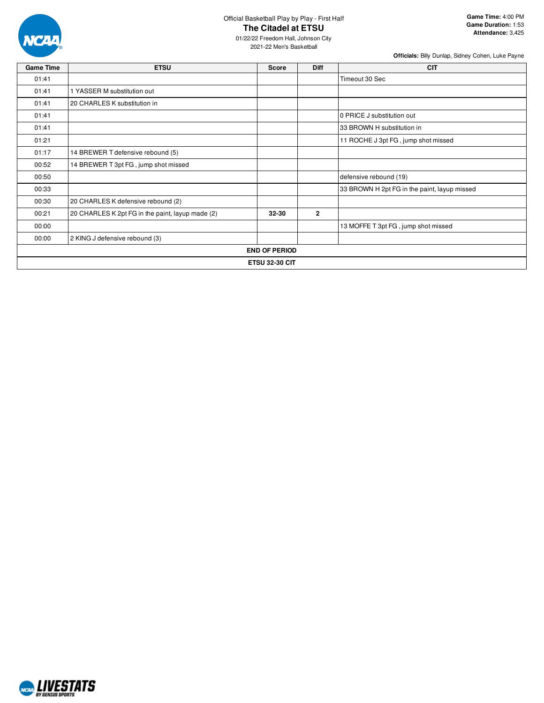

01/22/22 Freedom Hall, Johnson City 2021-22 Men's Basketball

| <b>Game Time</b>      | <b>ETSU</b>                                      | <b>Score</b>         | <b>Diff</b>    | <b>CIT</b>                                   |  |  |  |  |
|-----------------------|--------------------------------------------------|----------------------|----------------|----------------------------------------------|--|--|--|--|
| 01:41                 |                                                  |                      |                | Timeout 30 Sec                               |  |  |  |  |
| 01:41                 | 1 YASSER M substitution out                      |                      |                |                                              |  |  |  |  |
| 01:41                 | 20 CHARLES K substitution in                     |                      |                |                                              |  |  |  |  |
| 01:41                 |                                                  |                      |                | 0 PRICE J substitution out                   |  |  |  |  |
| 01:41                 |                                                  |                      |                | 33 BROWN H substitution in                   |  |  |  |  |
| 01:21                 |                                                  |                      |                | 11 ROCHE J 3pt FG, jump shot missed          |  |  |  |  |
| 01:17                 | 14 BREWER T defensive rebound (5)                |                      |                |                                              |  |  |  |  |
| 00:52                 | 14 BREWER T 3pt FG, jump shot missed             |                      |                |                                              |  |  |  |  |
| 00:50                 |                                                  |                      |                | defensive rebound (19)                       |  |  |  |  |
| 00:33                 |                                                  |                      |                | 33 BROWN H 2pt FG in the paint, layup missed |  |  |  |  |
| 00:30                 | 20 CHARLES K defensive rebound (2)               |                      |                |                                              |  |  |  |  |
| 00:21                 | 20 CHARLES K 2pt FG in the paint, layup made (2) | 32-30                | $\overline{2}$ |                                              |  |  |  |  |
| 00:00                 |                                                  |                      |                | 13 MOFFE T 3pt FG, jump shot missed          |  |  |  |  |
| 00:00                 | 2 KING J defensive rebound (3)                   |                      |                |                                              |  |  |  |  |
|                       |                                                  | <b>END OF PERIOD</b> |                |                                              |  |  |  |  |
| <b>ETSU 32-30 CIT</b> |                                                  |                      |                |                                              |  |  |  |  |

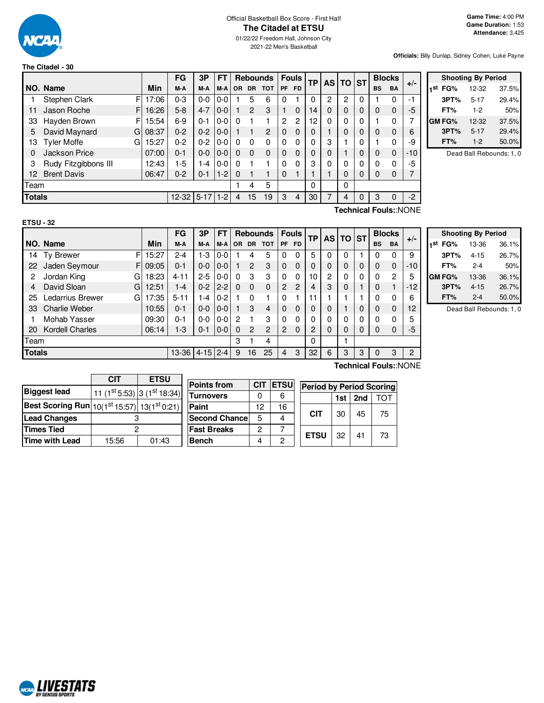

# Official Basketball Box Score - First Half **The Citadel at ETSU**

01/22/22 Freedom Hall, Johnson City 2021-22 Men's Basketball

**Officials:** Billy Dunlap, Sidney Cohen, Luke Payne

# **The Citadel - 30**

|                 |                         |       | FG             | 3P      | FΤ      |          |                | <b>Rebounds</b> |           | <b>Fouls</b>   | <b>TP</b> |   | AS TO ST |              |           | <b>Blocks</b> | $+/-$ |
|-----------------|-------------------------|-------|----------------|---------|---------|----------|----------------|-----------------|-----------|----------------|-----------|---|----------|--------------|-----------|---------------|-------|
|                 | NO. Name                | Min   | M-A            | M-A     | $M-A$   | OR.      | DR.            | <b>TOT</b>      | <b>PF</b> | <b>FD</b>      |           |   |          |              | <b>BS</b> | <b>BA</b>     |       |
|                 | Stephen Clark<br>FI     | 17:06 | $0 - 3$        | $0-0$   | $0-0$   |          | 5              | 6               | $\Omega$  |                |           | 2 | 2        |              |           |               | $-1$  |
| 11              | Jason Roche<br>F.       | 16:26 | 5-8            | $4 - 7$ | $0 - 0$ |          | $\overline{c}$ | 3               |           | $\Omega$       | 14        | 0 | 0        | $\Omega$     | $\Omega$  | $\Omega$      | $-5$  |
| 33              | Hayden Brown<br>FI      | 15:54 | 6-9            | $0 - 1$ | $0 - 0$ | 0        |                |                 | 2         | $\overline{c}$ | 12        | 0 | 0        | 0            |           | 0             | 7     |
| 5               | David Maynard<br>G      | 08:37 | $0 - 2$        | $0 - 2$ | $0 - 0$ |          |                | 2               | $\Omega$  | $\Omega$       |           |   | 0        |              | $\Omega$  | $\Omega$      | 6     |
| 13              | <b>Tyler Moffe</b><br>G | 15:27 | $0 - 2$        | $0 - 2$ | $0 - 0$ | 0        | $\Omega$       | 0               | $\Omega$  | 0              |           | З |          | <sup>0</sup> |           | O             | -9    |
| 0               | Jackson Price           | 07:00 | $0 - 1$        | $0 - 0$ | $0 - 0$ | 0        | $\Omega$       | 0               | $\Omega$  | $\Omega$       | 0         |   |          |              | $\Omega$  | $\Omega$      | $-10$ |
| 3               | Rudy Fitzgibbons III    | 12:43 | $1-5$          | 1-4     | $0 - 0$ | 0        |                |                 | $\Omega$  | 0              | З         |   | 0        |              | $\Omega$  | 0             | $-5$  |
| 12 <sup>2</sup> | <b>Brent Davis</b>      | 06:47 | $0 - 2$        | $0 - 1$ | $1-2$   | $\Omega$ |                |                 | $\Omega$  |                |           |   | 0        | 0            | $\Omega$  | $\Omega$      | 7     |
| Team            |                         |       |                |         |         |          | 4              | 5               |           |                | $\Omega$  |   | 0        |              |           |               |       |
| <b>Totals</b>   |                         |       | $12 - 32$ 5-17 |         | $1-2$   | 4        | 15             | 19              | 3         | 4              | 30        |   | 4        |              | 3         | 0             | $-2$  |

|     |               | <b>Shooting By Period</b> |       |
|-----|---------------|---------------------------|-------|
| 1st | FG%           | 12-32                     | 37.5% |
|     | 3PT%          | $5 - 17$                  | 29.4% |
|     | FT%           | $1-2$                     | 50%   |
|     | <b>GM FG%</b> | 12-32                     | 37.5% |
|     | 3PT%          | $5 - 17$                  | 29.4% |
|     | FT%           | $1-2$                     | 50.0% |

Dead Ball Rebounds: 1, 0

| × |  |
|---|--|

**Technical Fouls:**:NONE

|               |                        |            | FG        | 3Р           | FT      |           |                | <b>Rebounds</b> |                | <b>Fouls</b> | ТP | <b>AS</b> | TO           | <b>IST</b> |           | <b>Blocks</b> |       |
|---------------|------------------------|------------|-----------|--------------|---------|-----------|----------------|-----------------|----------------|--------------|----|-----------|--------------|------------|-----------|---------------|-------|
|               | NO. Name               | <b>Min</b> | M-A       | M-A          | $M-A$   | <b>OR</b> | <b>DR</b>      | <b>TOT</b>      | <b>PF</b>      | <b>FD</b>    |    |           |              |            | <b>BS</b> | <b>BA</b>     | $+/-$ |
| 14            | F<br>Ty Brewer         | 15:27      | $2 - 4$   | $1-3$        | $0 - 0$ |           | 4              | 5               |                | 0            | 5  | 0         | $\Omega$     |            | 0         | 0             | 9     |
| 22            | Jaden Seymour<br>FI    | 09:05      | $0 - 1$   | $0-0$        | $0-0$   |           | $\overline{c}$ | 3               | $\Omega$       | $\Omega$     | 0  | 0         | $\mathbf{0}$ | 0          | 0         | 0             | $-10$ |
| 2             | Jordan King<br>G       | 18:23      | $4 - 11$  | $2 - 5$      | $0-0$   | 0         | 3              | 3               | $\Omega$       | $\mathbf{0}$ | 10 | 2         | 0            | 0          | 0         | 2             | 5     |
| 4             | David Sloan<br>G       | 12:51      | 1-4       | $0 - 2$      | $12-2$  | $\Omega$  | $\Omega$       | $\Omega$        | $\overline{2}$ | 2            | 4  | 3         | $\mathbf 0$  |            | 0         |               | $-12$ |
| 25            | Ledarrius Brewer<br>G  | 17:35      | $5 - 11$  | 1-4          | $0 - 2$ |           | $\Omega$       |                 | 0              |              | 11 |           |              |            | 0         | 0             | 6     |
| 33            | <b>Charlie Weber</b>   | 10:55      | 0-1       | $0 - 0$      | $0-0$   |           | 3              | 4               | $\Omega$       | $\Omega$     | 0  | 0         |              | 0          | 0         | 0             | 12    |
|               | Mohab Yasser           | 09:30      | 0-1       | $0 - 0$      | $0-0$   | 2         |                | 3               |                | 0            | 0  | 0         | 0            | 0          | 0         | 0             | 5     |
| 20            | <b>Kordell Charles</b> | 06:14      | $1-3$     | $0 - 1$      | $ 0-0 $ | 0         | 2              | 2               | $\overline{2}$ | $\Omega$     | 2  | 0         | $\mathbf{0}$ | 0          | 0         | 0             | -5    |
| Team          |                        |            |           |              |         | 3         |                | 4               |                |              | 0  |           |              |            |           |               |       |
| <b>Totals</b> |                        |            | $13 - 36$ | $4-15$   2-4 |         | 9         | 16             | 25              | 4              | 3            | 32 | 6         | 3            | 3          | 0         | 3             | 2     |
|               | <br>-                  |            |           |              |         |           |                |                 |                |              |    |           |              |            |           |               |       |

**Shooting By Period 1 st FG%** 13-36 36.1% **3PT%** 4-15 26.7% **FT%** 2-4 50% **GM FG%** 13-36 36.1% **3PT%** 4-15 26.7% **FT%** 2-4 50.0%

Dead Ball Rebounds: 1, 0

|                                                           | <b>CIT</b>                                            | <b>ETSU</b> |  |  |  |  |
|-----------------------------------------------------------|-------------------------------------------------------|-------------|--|--|--|--|
| <b>Biggest lead</b>                                       | 11 ( $1^{\text{st}}$ 5:53) 3 ( $1^{\text{st}}$ 18:34) |             |  |  |  |  |
| Best Scoring Run $10(1st 15:57)$ 13(1 <sup>st</sup> 0:21) |                                                       |             |  |  |  |  |
| <b>Lead Changes</b>                                       |                                                       |             |  |  |  |  |
| <b>Times Tied</b>                                         | 2                                                     |             |  |  |  |  |
| <b>Time with Lead</b>                                     | 15:56                                                 | 01:43       |  |  |  |  |

| <b>Points from</b>   | <b>CIT</b> | <b>ETSU</b> |   |
|----------------------|------------|-------------|---|
| <b>Turnovers</b>     | O          | 6           |   |
| Paint                | 12         | 16          |   |
| <b>Second Chance</b> | 5          | 4           |   |
| <b>Fast Breaks</b>   | 2          |             | F |
| <b>Bench</b>         |            | 2           |   |

| <b>Technical Fouls::NONE</b> |
|------------------------------|
|                              |

|                           | <b>Period by Period Scoring</b> |    |    |  |  |  |  |  |  |
|---------------------------|---------------------------------|----|----|--|--|--|--|--|--|
| 1st $ $ 2nd<br><b>TOT</b> |                                 |    |    |  |  |  |  |  |  |
| СIТ                       | 30                              | 45 | 75 |  |  |  |  |  |  |
| <b>ETSU</b>               | 32                              | 41 | 73 |  |  |  |  |  |  |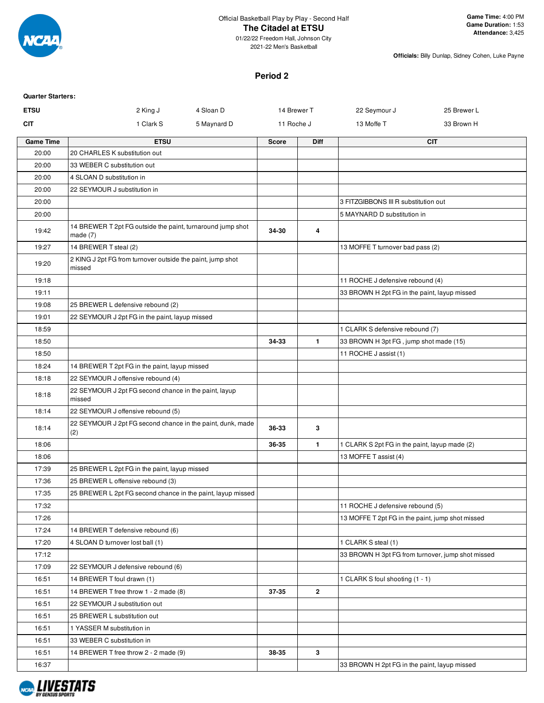

2021-22 Men's Basketball

**Officials:** Billy Dunlap, Sidney Cohen, Luke Payne

#### **Period 2**

| <b>Quarter Starters:</b> |                                                                        |              |              |                                                   |             |
|--------------------------|------------------------------------------------------------------------|--------------|--------------|---------------------------------------------------|-------------|
| <b>ETSU</b>              | 2 King J<br>4 Sloan D                                                  | 14 Brewer T  |              | 22 Seymour J                                      | 25 Brewer L |
| CIT                      | 1 Clark S<br>5 Maynard D                                               | 11 Roche J   |              | 13 Moffe T                                        | 33 Brown H  |
| <b>Game Time</b>         | <b>ETSU</b>                                                            | <b>Score</b> | <b>Diff</b>  |                                                   | <b>CIT</b>  |
| 20:00                    | 20 CHARLES K substitution out                                          |              |              |                                                   |             |
| 20:00                    | 33 WEBER C substitution out                                            |              |              |                                                   |             |
| 20:00                    | 4 SLOAN D substitution in                                              |              |              |                                                   |             |
| 20:00                    | 22 SEYMOUR J substitution in                                           |              |              |                                                   |             |
| 20:00                    |                                                                        |              |              | 3 FITZGIBBONS III R substitution out              |             |
| 20:00                    |                                                                        |              |              | 5 MAYNARD D substitution in                       |             |
| 19:42                    | 14 BREWER T 2pt FG outside the paint, turnaround jump shot<br>made (7) | 34-30        | 4            |                                                   |             |
| 19:27                    | 14 BREWER T steal (2)                                                  |              |              | 13 MOFFE T turnover bad pass (2)                  |             |
| 19:20                    | 2 KING J 2pt FG from turnover outside the paint, jump shot<br>missed   |              |              |                                                   |             |
| 19:18                    |                                                                        |              |              | 11 ROCHE J defensive rebound (4)                  |             |
| 19:11                    |                                                                        |              |              | 33 BROWN H 2pt FG in the paint, layup missed      |             |
| 19:08                    | 25 BREWER L defensive rebound (2)                                      |              |              |                                                   |             |
| 19:01                    | 22 SEYMOUR J 2pt FG in the paint, layup missed                         |              |              |                                                   |             |
| 18:59                    |                                                                        |              |              | 1 CLARK S defensive rebound (7)                   |             |
| 18:50                    |                                                                        | 34-33        | $\mathbf{1}$ | 33 BROWN H 3pt FG, jump shot made (15)            |             |
| 18:50                    |                                                                        |              |              | 11 ROCHE J assist (1)                             |             |
| 18:24                    | 14 BREWER T 2pt FG in the paint, layup missed                          |              |              |                                                   |             |
| 18:18                    | 22 SEYMOUR J offensive rebound (4)                                     |              |              |                                                   |             |
| 18:18                    | 22 SEYMOUR J 2pt FG second chance in the paint, layup<br>missed        |              |              |                                                   |             |
| 18:14                    | 22 SEYMOUR J offensive rebound (5)                                     |              |              |                                                   |             |
| 18:14                    | 22 SEYMOUR J 2pt FG second chance in the paint, dunk, made<br>(2)      | 36-33        | 3            |                                                   |             |
| 18:06                    |                                                                        | 36-35        | $\mathbf{1}$ | 1 CLARK S 2pt FG in the paint, layup made (2)     |             |
| 18:06                    |                                                                        |              |              | 13 MOFFE T assist (4)                             |             |
| 17:39                    | 25 BREWER L 2pt FG in the paint, layup missed                          |              |              |                                                   |             |
| 17:36                    | 25 BREWER L offensive rebound (3)                                      |              |              |                                                   |             |
| 17:35                    | 25 BREWER L 2pt FG second chance in the paint, layup missed            |              |              |                                                   |             |
| 17:32                    |                                                                        |              |              | 11 ROCHE J defensive rebound (5)                  |             |
| 17:26                    |                                                                        |              |              | 13 MOFFE T 2pt FG in the paint, jump shot missed  |             |
| 17:24                    | 14 BREWER T defensive rebound (6)                                      |              |              |                                                   |             |
| 17:20                    | 4 SLOAN D turnover lost ball (1)                                       |              |              | 1 CLARK S steal (1)                               |             |
| 17:12                    |                                                                        |              |              | 33 BROWN H 3pt FG from turnover, jump shot missed |             |
| 17:09                    | 22 SEYMOUR J defensive rebound (6)                                     |              |              |                                                   |             |
| 16:51                    | 14 BREWER T foul drawn (1)                                             |              |              | 1 CLARK S foul shooting (1 - 1)                   |             |
| 16:51                    | 14 BREWER T free throw 1 - 2 made (8)                                  | 37-35        | $\mathbf{2}$ |                                                   |             |
| 16:51                    | 22 SEYMOUR J substitution out                                          |              |              |                                                   |             |
| 16:51                    | 25 BREWER L substitution out                                           |              |              |                                                   |             |
| 16:51                    | 1 YASSER M substitution in                                             |              |              |                                                   |             |
| 16:51                    | 33 WEBER C substitution in                                             |              |              |                                                   |             |
| 16:51                    | 14 BREWER T free throw 2 - 2 made (9)                                  | 38-35        | 3            |                                                   |             |
| 16:37                    |                                                                        |              |              | 33 BROWN H 2pt FG in the paint, layup missed      |             |

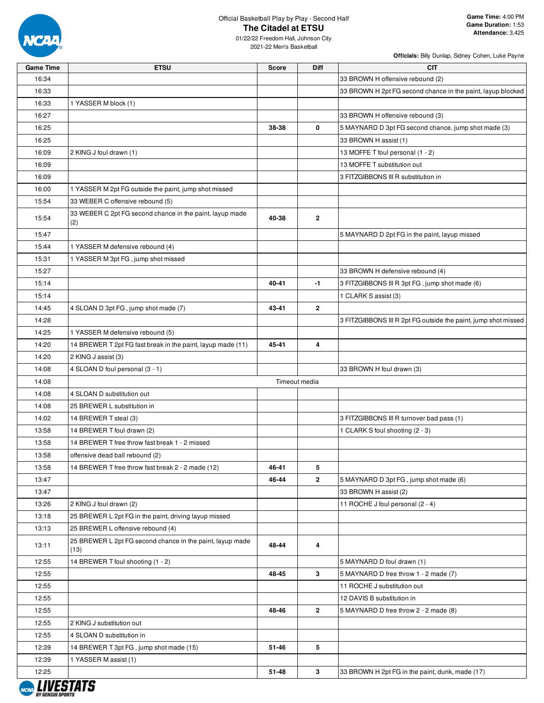

01/22/22 Freedom Hall, Johnson City 2021-22 Men's Basketball

| <b>Game Time</b> | <b>ETSU</b>                                                       | <b>Score</b> | <b>Diff</b>             | <b>CIT</b>                                                     |
|------------------|-------------------------------------------------------------------|--------------|-------------------------|----------------------------------------------------------------|
| 16:34            |                                                                   |              |                         | 33 BROWN H offensive rebound (2)                               |
| 16:33            |                                                                   |              |                         | 33 BROWN H 2pt FG second chance in the paint, layup blocked    |
| 16:33            | 1 YASSER M block (1)                                              |              |                         |                                                                |
| 16:27            |                                                                   |              |                         | 33 BROWN H offensive rebound (3)                               |
| 16:25            |                                                                   | 38-38        | 0                       | 5 MAYNARD D 3pt FG second chance, jump shot made (3)           |
| 16:25            |                                                                   |              |                         | 33 BROWN H assist (1)                                          |
| 16:09            | 2 KING J foul drawn (1)                                           |              |                         | 13 MOFFE T foul personal (1 - 2)                               |
| 16:09            |                                                                   |              |                         | 13 MOFFE T substitution out                                    |
| 16:09            |                                                                   |              |                         | 3 FITZGIBBONS III R substitution in                            |
| 16:00            | 1 YASSER M 2pt FG outside the paint, jump shot missed             |              |                         |                                                                |
| 15:54            | 33 WEBER C offensive rebound (5)                                  |              |                         |                                                                |
|                  | 33 WEBER C 2pt FG second chance in the paint, layup made          |              |                         |                                                                |
| 15:54            | (2)                                                               | 40-38        | $\overline{2}$          |                                                                |
| 15:47            |                                                                   |              |                         | 5 MAYNARD D 2pt FG in the paint, layup missed                  |
| 15:44            | 1 YASSER M defensive rebound (4)                                  |              |                         |                                                                |
| 15:31            | 1 YASSER M 3pt FG, jump shot missed                               |              |                         |                                                                |
| 15:27            |                                                                   |              |                         | 33 BROWN H defensive rebound (4)                               |
| 15:14            |                                                                   | 40-41        | $-1$                    | 3 FITZGIBBONS III R 3pt FG, jump shot made (6)                 |
| 15:14            |                                                                   |              |                         | 1 CLARK S assist (3)                                           |
| 14:45            | 4 SLOAN D 3pt FG, jump shot made (7)                              | 43-41        | $\mathbf{2}$            |                                                                |
| 14:28            |                                                                   |              |                         | 3 FITZGIBBONS III R 2pt FG outside the paint, jump shot missed |
| 14:25            | 1 YASSER M defensive rebound (5)                                  |              |                         |                                                                |
| 14:20            | 14 BREWER T 2pt FG fast break in the paint, layup made (11)       | 45-41        | 4                       |                                                                |
| 14:20            | 2 KING J assist (3)                                               |              |                         |                                                                |
| 14:08            | 4 SLOAN D foul personal (3 - 1)                                   |              |                         | 33 BROWN H foul drawn (3)                                      |
| 14:08            |                                                                   |              | Timeout media           |                                                                |
| 14:08            | 4 SLOAN D substitution out                                        |              |                         |                                                                |
| 14:08            | 25 BREWER L substitution in                                       |              |                         |                                                                |
| 14:02            | 14 BREWER T steal (3)                                             |              |                         | 3 FITZGIBBONS III R turnover bad pass (1)                      |
| 13:58            | 14 BREWER T foul drawn (2)                                        |              |                         | 1 CLARK S foul shooting (2 - 3)                                |
| 13:58            | 14 BREWER T free throw fast break 1 - 2 missed                    |              |                         |                                                                |
| 13:58            | offensive dead ball rebound (2)                                   |              |                         |                                                                |
| 13:58            | 14 BREWER T free throw fast break 2 - 2 made (12)                 | 46-41        | 5                       |                                                                |
| 13:47            |                                                                   | 46-44        | $\overline{\mathbf{2}}$ | 5 MAYNARD D 3pt FG, jump shot made (6)                         |
| 13:47            |                                                                   |              |                         | 33 BROWN H assist (2)                                          |
| 13:26            | 2 KING J foul drawn (2)                                           |              |                         | 11 ROCHE J foul personal (2 - 4)                               |
| 13:18            | 25 BREWER L 2pt FG in the paint, driving layup missed             |              |                         |                                                                |
| 13:13            | 25 BREWER L offensive rebound (4)                                 |              |                         |                                                                |
| 13:11            | 25 BREWER L 2pt FG second chance in the paint, layup made<br>(13) | 48-44        | 4                       |                                                                |
| 12:55            | 14 BREWER T foul shooting (1 - 2)                                 |              |                         | 5 MAYNARD D foul drawn (1)                                     |
| 12:55            |                                                                   | 48-45        | 3                       | 5 MAYNARD D free throw 1 - 2 made (7)                          |
| 12:55            |                                                                   |              |                         | 11 ROCHE J substitution out                                    |
| 12:55            |                                                                   |              |                         | 12 DAVIS B substitution in                                     |
| 12:55            |                                                                   | 48-46        | $\mathbf{2}$            | 5 MAYNARD D free throw 2 - 2 made (8)                          |
| 12:55            | 2 KING J substitution out                                         |              |                         |                                                                |
| 12:55            | 4 SLOAN D substitution in                                         |              |                         |                                                                |
| 12:39            | 14 BREWER T 3pt FG, jump shot made (15)                           | 51-46        | 5                       |                                                                |
| 12:39            | 1 YASSER M assist (1)                                             |              |                         |                                                                |
| 12:25            |                                                                   | 51-48        | 3                       | 33 BROWN H 2pt FG in the paint, dunk, made (17)                |
|                  |                                                                   |              |                         |                                                                |

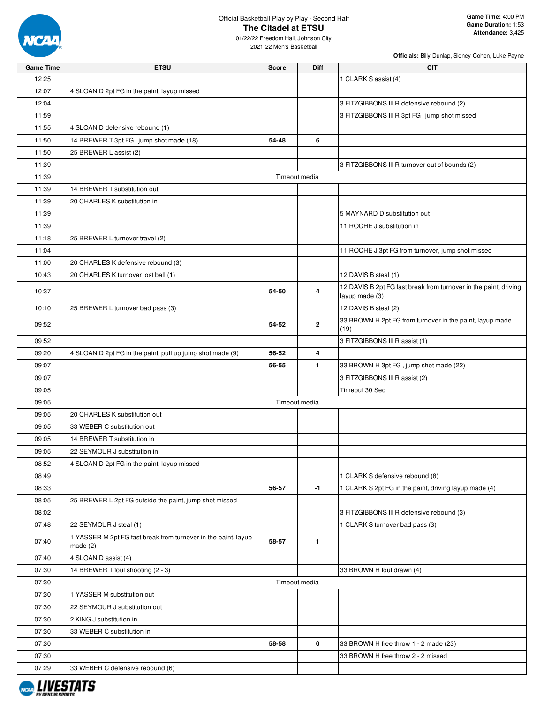

01/22/22 Freedom Hall, Johnson City 2021-22 Men's Basketball

| <b>Game Time</b> | <b>ETSU</b>                                                               | <b>Score</b>  | <b>Diff</b>  | <b>CIT</b>                                                       |
|------------------|---------------------------------------------------------------------------|---------------|--------------|------------------------------------------------------------------|
| 12:25            |                                                                           |               |              | 1 CLARK S assist (4)                                             |
| 12:07            | 4 SLOAN D 2pt FG in the paint, layup missed                               |               |              |                                                                  |
| 12:04            |                                                                           |               |              | 3 FITZGIBBONS III R defensive rebound (2)                        |
| 11:59            |                                                                           |               |              | 3 FITZGIBBONS III R 3pt FG, jump shot missed                     |
| 11:55            | 4 SLOAN D defensive rebound (1)                                           |               |              |                                                                  |
| 11:50            | 14 BREWER T 3pt FG, jump shot made (18)                                   | 54-48         | 6            |                                                                  |
| 11:50            | 25 BREWER L assist (2)                                                    |               |              |                                                                  |
| 11:39            |                                                                           |               |              | 3 FITZGIBBONS III R turnover out of bounds (2)                   |
| 11:39            |                                                                           | Timeout media |              |                                                                  |
| 11:39            | 14 BREWER T substitution out                                              |               |              |                                                                  |
| 11:39            | 20 CHARLES K substitution in                                              |               |              |                                                                  |
| 11:39            |                                                                           |               |              | 5 MAYNARD D substitution out                                     |
| 11:39            |                                                                           |               |              | 11 ROCHE J substitution in                                       |
| 11:18            | 25 BREWER L turnover travel (2)                                           |               |              |                                                                  |
| 11:04            |                                                                           |               |              | 11 ROCHE J 3pt FG from turnover, jump shot missed                |
| 11:00            | 20 CHARLES K defensive rebound (3)                                        |               |              |                                                                  |
| 10:43            | 20 CHARLES K turnover lost ball (1)                                       |               |              | 12 DAVIS B steal (1)                                             |
|                  |                                                                           |               |              | 12 DAVIS B 2pt FG fast break from turnover in the paint, driving |
| 10:37            |                                                                           | 54-50         | 4            | layup made (3)                                                   |
| 10:10            | 25 BREWER L turnover bad pass (3)                                         |               |              | 12 DAVIS B steal (2)                                             |
| 09:52            |                                                                           | 54-52         | $\mathbf{2}$ | 33 BROWN H 2pt FG from turnover in the paint, layup made<br>(19) |
| 09:52            |                                                                           |               |              | 3 FITZGIBBONS III R assist (1)                                   |
| 09:20            | 4 SLOAN D 2pt FG in the paint, pull up jump shot made (9)                 | 56-52         | 4            |                                                                  |
| 09:07            |                                                                           | 56-55         | 1.           | 33 BROWN H 3pt FG, jump shot made (22)                           |
| 09:07            |                                                                           |               |              | 3 FITZGIBBONS III R assist (2)                                   |
| 09:05            |                                                                           |               |              | Timeout 30 Sec                                                   |
| 09:05            |                                                                           | Timeout media |              |                                                                  |
| 09:05            | 20 CHARLES K substitution out                                             |               |              |                                                                  |
| 09:05            | 33 WEBER C substitution out                                               |               |              |                                                                  |
| 09:05            | 14 BREWER T substitution in                                               |               |              |                                                                  |
| 09:05            | 22 SEYMOUR J substitution in                                              |               |              |                                                                  |
| 08:52            | 4 SLOAN D 2pt FG in the paint, layup missed                               |               |              |                                                                  |
| 08:49            |                                                                           |               |              | 1 CLARK S defensive rebound (8)                                  |
| 08:33            |                                                                           | 56-57         | $-1$         | 1 CLARK S 2pt FG in the paint, driving layup made (4)            |
| 08:05            | 25 BREWER L 2pt FG outside the paint, jump shot missed                    |               |              |                                                                  |
| 08:02            |                                                                           |               |              | 3 FITZGIBBONS III R defensive rebound (3)                        |
| 07:48            | 22 SEYMOUR J steal (1)                                                    |               |              | 1 CLARK S turnover bad pass (3)                                  |
| 07:40            | 1 YASSER M 2pt FG fast break from turnover in the paint, layup<br>made(2) | 58-57         | 1            |                                                                  |
| 07:40            | 4 SLOAN D assist (4)                                                      |               |              |                                                                  |
| 07:30            | 14 BREWER T foul shooting (2 - 3)                                         |               |              | 33 BROWN H foul drawn (4)                                        |
| 07:30            |                                                                           | Timeout media |              |                                                                  |
| 07:30            | 1 YASSER M substitution out                                               |               |              |                                                                  |
| 07:30            | 22 SEYMOUR J substitution out                                             |               |              |                                                                  |
| 07:30            | 2 KING J substitution in                                                  |               |              |                                                                  |
| 07:30            | 33 WEBER C substitution in                                                |               |              |                                                                  |
| 07:30            |                                                                           | 58-58         | 0            | 33 BROWN H free throw 1 - 2 made (23)                            |
| 07:30            |                                                                           |               |              | 33 BROWN H free throw 2 - 2 missed                               |
| 07:29            | 33 WEBER C defensive rebound (6)                                          |               |              |                                                                  |
|                  |                                                                           |               |              |                                                                  |

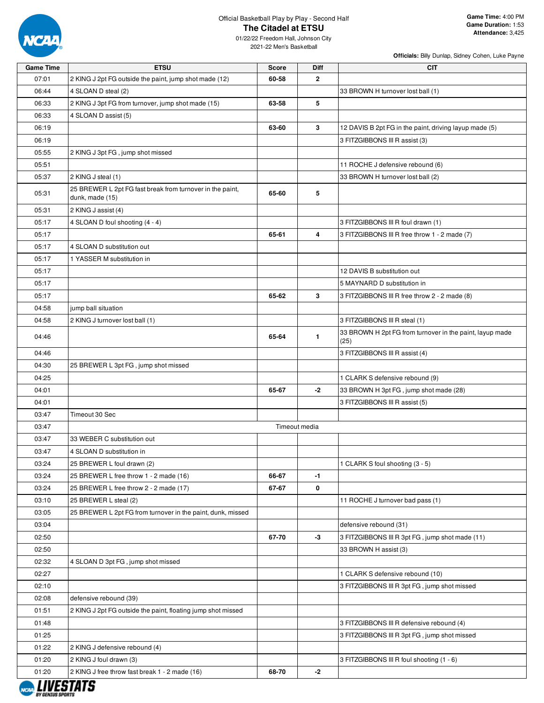

**Officials:** Billy Dunlap, Sidney Cohen, Luke Payne

01/22/22 Freedom Hall, Johnson City 2021-22 Men's Basketball

| <b>Game Time</b> | <b>ETSU</b>                                                                  | <b>Score</b>  | <b>Diff</b>  | <b>CIT</b>                                                       |
|------------------|------------------------------------------------------------------------------|---------------|--------------|------------------------------------------------------------------|
| 07:01            | 2 KING J 2pt FG outside the paint, jump shot made (12)                       | 60-58         | 2            |                                                                  |
| 06:44            | 4 SLOAN D steal (2)                                                          |               |              | 33 BROWN H turnover lost ball (1)                                |
| 06:33            | 2 KING J 3pt FG from turnover, jump shot made (15)                           | 63-58         | 5            |                                                                  |
| 06:33            | 4 SLOAN D assist (5)                                                         |               |              |                                                                  |
| 06:19            |                                                                              | 63-60         | 3            | 12 DAVIS B 2pt FG in the paint, driving layup made (5)           |
| 06:19            |                                                                              |               |              | 3 FITZGIBBONS III R assist (3)                                   |
| 05:55            | 2 KING J 3pt FG, jump shot missed                                            |               |              |                                                                  |
| 05:51            |                                                                              |               |              | 11 ROCHE J defensive rebound (6)                                 |
| 05:37            | 2 KING J steal (1)                                                           |               |              | 33 BROWN H turnover lost ball (2)                                |
| 05:31            | 25 BREWER L 2pt FG fast break from turnover in the paint,<br>dunk, made (15) | 65-60         | 5            |                                                                  |
| 05:31            | 2 KING J assist (4)                                                          |               |              |                                                                  |
| 05:17            | 4 SLOAN D foul shooting (4 - 4)                                              |               |              | 3 FITZGIBBONS III R foul drawn (1)                               |
| 05:17            |                                                                              | 65-61         | 4            | 3 FITZGIBBONS III R free throw 1 - 2 made (7)                    |
| 05:17            | 4 SLOAN D substitution out                                                   |               |              |                                                                  |
| 05:17            | 1 YASSER M substitution in                                                   |               |              |                                                                  |
| 05:17            |                                                                              |               |              | 12 DAVIS B substitution out                                      |
| 05:17            |                                                                              |               |              | 5 MAYNARD D substitution in                                      |
| 05:17            |                                                                              | 65-62         | 3            | 3 FITZGIBBONS III R free throw 2 - 2 made (8)                    |
| 04:58            | jump ball situation                                                          |               |              |                                                                  |
| 04:58            | 2 KING J turnover lost ball (1)                                              |               |              | 3 FITZGIBBONS III R steal (1)                                    |
| 04:46            |                                                                              | 65-64         | $\mathbf{1}$ | 33 BROWN H 2pt FG from turnover in the paint, layup made<br>(25) |
| 04:46            |                                                                              |               |              | 3 FITZGIBBONS III R assist (4)                                   |
| 04:30            | 25 BREWER L 3pt FG, jump shot missed                                         |               |              |                                                                  |
| 04:25            |                                                                              |               |              | 1 CLARK S defensive rebound (9)                                  |
| 04:01            |                                                                              | 65-67         | $-2$         | 33 BROWN H 3pt FG, jump shot made (28)                           |
| 04:01            |                                                                              |               |              | 3 FITZGIBBONS III R assist (5)                                   |
| 03:47            | Timeout 30 Sec                                                               |               |              |                                                                  |
| 03:47            |                                                                              | Timeout media |              |                                                                  |
| 03:47            | 33 WEBER C substitution out                                                  |               |              |                                                                  |
|                  |                                                                              |               |              |                                                                  |
| 03:47            | 4 SLOAN D substitution in                                                    |               |              |                                                                  |
| 03:24            | 25 BREWER L foul drawn (2)                                                   |               |              | 1 CLARK S foul shooting (3 - 5)                                  |
| 03:24            | 25 BREWER L free throw 1 - 2 made (16)                                       | 66-67         | $-1$         |                                                                  |
| 03:24            | 25 BREWER L free throw 2 - 2 made (17)                                       | 67-67         | 0            |                                                                  |
| 03:10            | 25 BREWER L steal (2)                                                        |               |              | 11 ROCHE J turnover bad pass (1)                                 |
| 03:05            | 25 BREWER L 2pt FG from turnover in the paint, dunk, missed                  |               |              |                                                                  |
| 03:04            |                                                                              |               |              | defensive rebound (31)                                           |
| 02:50            |                                                                              | 67-70         | -3           | 3 FITZGIBBONS III R 3pt FG, jump shot made (11)                  |
| 02:50            |                                                                              |               |              | 33 BROWN H assist (3)                                            |
| 02:32            | 4 SLOAN D 3pt FG, jump shot missed                                           |               |              |                                                                  |
| 02:27            |                                                                              |               |              | 1 CLARK S defensive rebound (10)                                 |
| 02:10            |                                                                              |               |              | 3 FITZGIBBONS III R 3pt FG, jump shot missed                     |
| 02:08            | defensive rebound (39)                                                       |               |              |                                                                  |
| 01:51            | 2 KING J 2pt FG outside the paint, floating jump shot missed                 |               |              |                                                                  |
| 01:48            |                                                                              |               |              | 3 FITZGIBBONS III R defensive rebound (4)                        |
| 01:25            |                                                                              |               |              | 3 FITZGIBBONS III R 3pt FG, jump shot missed                     |
| 01:22            | 2 KING J defensive rebound (4)                                               |               |              |                                                                  |
| 01:20            | 2 KING J foul drawn (3)                                                      |               |              | 3 FITZGIBBONS III R foul shooting (1 - 6)                        |
| 01:20            | 2 KING J free throw fast break 1 - 2 made (16)                               | 68-70         | $-2$         |                                                                  |

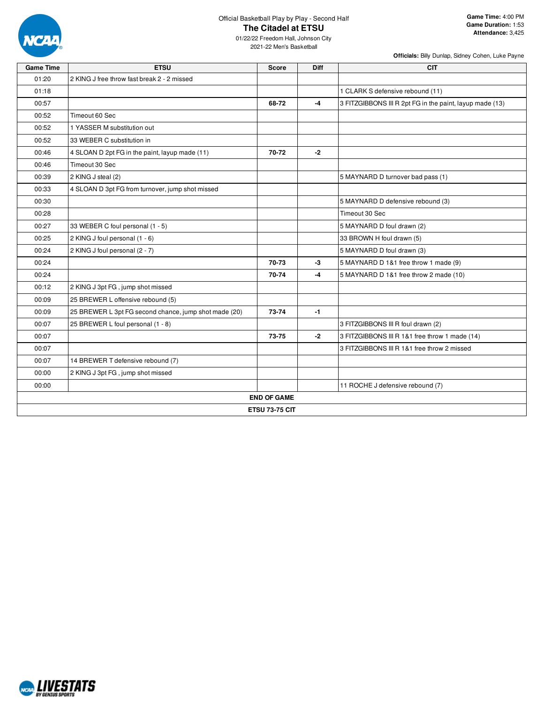

01/22/22 Freedom Hall, Johnson City 2021-22 Men's Basketball

| <b>Game Time</b> | <b>ETSU</b>                                           | <b>Score</b>          | <b>Diff</b> | <b>CIT</b>                                               |
|------------------|-------------------------------------------------------|-----------------------|-------------|----------------------------------------------------------|
| 01:20            | 2 KING J free throw fast break 2 - 2 missed           |                       |             |                                                          |
| 01:18            |                                                       |                       |             | 1 CLARK S defensive rebound (11)                         |
| 00:57            |                                                       | 68-72                 | $-4$        | 3 FITZGIBBONS III R 2pt FG in the paint, layup made (13) |
| 00:52            | Timeout 60 Sec                                        |                       |             |                                                          |
| 00:52            | 1 YASSER M substitution out                           |                       |             |                                                          |
| 00:52            | 33 WEBER C substitution in                            |                       |             |                                                          |
| 00:46            | 4 SLOAN D 2pt FG in the paint, layup made (11)        | 70-72                 | $-2$        |                                                          |
| 00:46            | Timeout 30 Sec                                        |                       |             |                                                          |
| 00:39            | 2 KING J steal (2)                                    |                       |             | 5 MAYNARD D turnover bad pass (1)                        |
| 00:33            | 4 SLOAN D 3pt FG from turnover, jump shot missed      |                       |             |                                                          |
| 00:30            |                                                       |                       |             | 5 MAYNARD D defensive rebound (3)                        |
| 00:28            |                                                       |                       |             | Timeout 30 Sec                                           |
| 00:27            | 33 WEBER C foul personal (1 - 5)                      |                       |             | 5 MAYNARD D foul drawn (2)                               |
| 00:25            | 2 KING J foul personal (1 - 6)                        |                       |             | 33 BROWN H foul drawn (5)                                |
| 00:24            | 2 KING J foul personal (2 - 7)                        |                       |             | 5 MAYNARD D foul drawn (3)                               |
| 00:24            |                                                       | 70-73                 | -3          | 5 MAYNARD D 1&1 free throw 1 made (9)                    |
| 00:24            |                                                       | 70-74                 | $-4$        | 5 MAYNARD D 1&1 free throw 2 made (10)                   |
| 00:12            | 2 KING J 3pt FG, jump shot missed                     |                       |             |                                                          |
| 00:09            | 25 BREWER L offensive rebound (5)                     |                       |             |                                                          |
| 00:09            | 25 BREWER L 3pt FG second chance, jump shot made (20) | 73-74                 | $-1$        |                                                          |
| 00:07            | 25 BREWER L foul personal (1 - 8)                     |                       |             | 3 FITZGIBBONS III R foul drawn (2)                       |
| 00:07            |                                                       | 73-75                 | $-2$        | 3 FITZGIBBONS III R 1&1 free throw 1 made (14)           |
| 00:07            |                                                       |                       |             | 3 FITZGIBBONS III R 1&1 free throw 2 missed              |
| 00:07            | 14 BREWER T defensive rebound (7)                     |                       |             |                                                          |
| 00:00            | 2 KING J 3pt FG, jump shot missed                     |                       |             |                                                          |
| 00:00            |                                                       |                       |             | 11 ROCHE J defensive rebound (7)                         |
|                  |                                                       | <b>END OF GAME</b>    |             |                                                          |
|                  |                                                       | <b>ETSU 73-75 CIT</b> |             |                                                          |

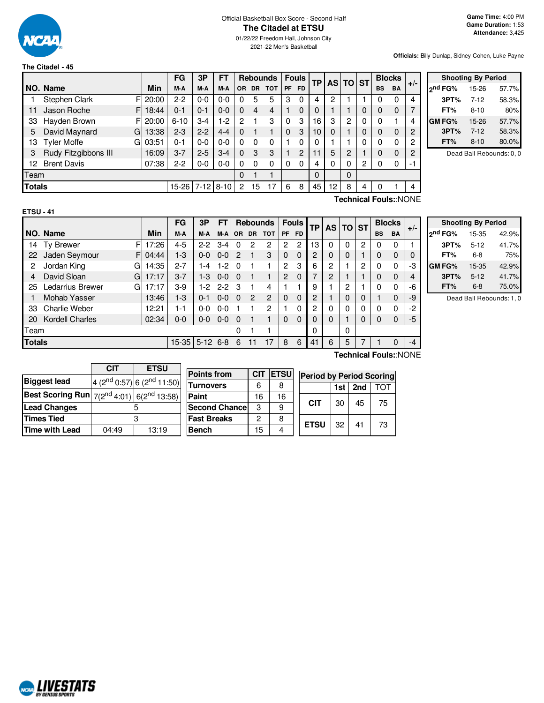

# Official Basketball Box Score - Second Half **The Citadel at ETSU**

01/22/22 Freedom Hall, Johnson City 2021-22 Men's Basketball

**Officials:** Billy Dunlap, Sidney Cohen, Luke Payne

|               |                          |       | FG       | 3P       | <b>FT</b> |     |           | <b>Rebounds</b> |    | <b>Fouls</b> | <b>TP</b> |    | AS TO ST |          |           | <b>Blocks</b> | $+/-$          |
|---------------|--------------------------|-------|----------|----------|-----------|-----|-----------|-----------------|----|--------------|-----------|----|----------|----------|-----------|---------------|----------------|
|               | NO. Name                 | Min   | M-A      | M-A      | M-A       | OR. | <b>DR</b> | <b>TOT</b>      | PF | <b>FD</b>    |           |    |          |          | <b>BS</b> | BA            |                |
|               | Stephen Clark<br>FI      | 20:00 | $2 - 2$  | $0 - 0$  | $0-0$     | 0   | 5         | 5               | 3  | 0            | 4         | 2  |          |          | 0         | 0             | $\overline{4}$ |
| 11            | Jason Roche<br>FI        | 18:44 | $0 - 1$  | $0 - 1$  | $0 - 0$   | 0   | 4         | 4               |    | 0            | 0         |    |          | 0        | 0         | $\Omega$      | 7              |
| 33            | Hayden Brown<br>FI       | 20:00 | $6 - 10$ | $3-4$    | $1-2$     | 2   |           | 3               | 0  | 3            | 16        | 3  | 2        | 0        | 0         |               | 4              |
| 5             | David Maynard<br>G       | 13:38 | $2 - 3$  | $2 - 2$  | $4 - 4$   | 0   |           |                 | 0  | 3            | 10        | 0  |          | $\Omega$ | 0         | $\Omega$      | 2              |
| 13            | <b>Tyler Moffe</b><br>GI | 03:51 | $0 - 1$  | $0 - 0$  | $0-0$     | 0   | 0         | 0               |    | 0            | $\Omega$  |    |          | 0        | 0         | 0             | $\overline{c}$ |
| 3             | Rudy Fitzgibbons III     | 16:09 | $3 - 7$  | $2 - 5$  | $3 - 4$   | 0   | 3         | 3               |    | 2            | 11        | 5  | 2        |          | 0         | $\Omega$      | $\overline{2}$ |
| 12            | <b>Brent Davis</b>       | 07:38 | $2 - 2$  | $0-0$    | $0 - 0$   | 0   | 0         | 0               | 0  | 0            |           | 0  | 0        | 2        | 0         | 0             | -1             |
| Team          |                          |       |          |          |           | 0   |           |                 |    |              | $\Omega$  |    | $\Omega$ |          |           |               |                |
| <b>Totals</b> |                          |       | 15-26    | $7 - 12$ | $8 - 10$  | 2   | 15        |                 | 6  | 8            | 45        | 12 | 8        | 4        | 0         |               | $\overline{4}$ |

|         | <b>Shooting By Period</b> |       |  |  |  |  |  |  |  |  |  |  |  |
|---------|---------------------------|-------|--|--|--|--|--|--|--|--|--|--|--|
| ond FG% | 15-26                     | 57.7% |  |  |  |  |  |  |  |  |  |  |  |
| 3PT%    | $7 - 12$                  | 58.3% |  |  |  |  |  |  |  |  |  |  |  |
| FT%     | $8 - 10$                  | 80%   |  |  |  |  |  |  |  |  |  |  |  |
| GM FG%  | 15-26                     | 57.7% |  |  |  |  |  |  |  |  |  |  |  |
| 3PT%    | $7 - 12$                  | 58.3% |  |  |  |  |  |  |  |  |  |  |  |
| FT%     | $8 - 10$                  | 80.0% |  |  |  |  |  |  |  |  |  |  |  |

Dead Ball Rebounds: 0, 0

| ×<br>۰, |  |  |
|---------|--|--|

**Technical Fouls:**:NONE

|               |                        |       | FG      | 3P         | <b>FT</b> |           |                | <b>Rebounds</b> |          | <b>Fouls</b> | ТP<br>AS I | <b>TO ST</b> |          | <b>Blocks</b> |           |             |       |
|---------------|------------------------|-------|---------|------------|-----------|-----------|----------------|-----------------|----------|--------------|------------|--------------|----------|---------------|-----------|-------------|-------|
|               | NO. Name               | Min   | M-A     | M-A        | M-A       | <b>OR</b> | <b>DR</b>      | <b>TOT</b>      | PF.      | <b>FD</b>    |            |              |          |               | <b>BS</b> | <b>BA</b>   | $+/-$ |
| 14            | F<br><b>Ty Brewer</b>  | 17:26 | $4 - 5$ | $2-2$      | $3 - 4$   | 0         | 2              | 2               | 2        | 2            | 13         | 0            | 0        | 2             | 0         | 0           |       |
| 22            | Jaden Seymour<br>F     | 04:44 | $1 - 3$ | $0 - 0$    | $0-0$     | 2         |                | 3               | $\Omega$ | $\Omega$     | 2          | 0            | 0        |               | 0         | 0           | 0     |
| 2             | Jordan King<br>G       | 14:35 | $2 - 7$ | 1-4        | $1-2$     | $\Omega$  |                |                 | 2        | 3            | 6          | 2            |          | 2             | 0         | 0           | -3    |
| 4             | David Sloan<br>G       | 17:17 | $3 - 7$ | $1-3$      | $0-0$     | $\Omega$  |                |                 | 2        | $\Omega$     | 7          | 2            |          |               | 0         | $\mathbf 0$ | 4     |
| 25            | Ledarrius Brewer<br>G  | 17:17 | $3-9$   | 1-2        | $2 - 2$   | 3         |                | 4               |          |              | 9          |              | 2        |               | 0         | $\Omega$    | -6    |
|               | <b>Mohab Yasser</b>    | 13:46 | $1 - 3$ | $0 - 1$    | $0-0$     | $\Omega$  | $\overline{2}$ | 2               | $\Omega$ | $\Omega$     | 2          |              | $\Omega$ | $\Omega$      |           | 0           | -9    |
| 33            | <b>Charlie Weber</b>   | 12:21 | $1 - 1$ | $0 - 0$    | $0-0$     |           |                | 2               |          | 0            | 2          | 0            | 0        | $\mathbf{0}$  | 0         | 0           | -2    |
| 20            | <b>Kordell Charles</b> | 02:34 | $0 - 0$ | $0 - 0$    | $0-0$     | $\Omega$  |                |                 | $\Omega$ | $\Omega$     | 0          | 0            |          | 0             | 0         | $\Omega$    | -5    |
| Team          |                        |       |         |            |           | $\Omega$  |                |                 |          |              | 0          |              | 0        |               |           |             |       |
| <b>Totals</b> |                        |       | 15-35   | $5-12$ 6-8 |           | 6         | 11             |                 | 8        | 6            | 41         | 6            | 5        |               |           | 0           | -4    |

| <b>Shooting By Period</b> |          |       |  |  |  |  |  |  |  |  |  |  |
|---------------------------|----------|-------|--|--|--|--|--|--|--|--|--|--|
| 2 <sup>nd</sup> FG%       | 15-35    | 42.9% |  |  |  |  |  |  |  |  |  |  |
| 3PT%                      | $5 - 12$ | 41.7% |  |  |  |  |  |  |  |  |  |  |
| FT%                       | 6-8      | 75%   |  |  |  |  |  |  |  |  |  |  |
| GM FG%                    | 15-35    | 42.9% |  |  |  |  |  |  |  |  |  |  |
| 3PT%                      | $5 - 12$ | 41.7% |  |  |  |  |  |  |  |  |  |  |
| FT%                       | $6 - 8$  | 75.0% |  |  |  |  |  |  |  |  |  |  |

Dead Ball Rebounds: 1, 0

| CIT   | <b>ETSU</b>                                                      |
|-------|------------------------------------------------------------------|
|       | 4 ( $2^{nd}$ 0:57) 6 ( $2^{nd}$ 11:50)                           |
|       | <b>Best Scoring Run</b> $7(2^{nd}4:01)$ 6(2 <sup>nd</sup> 13:58) |
|       |                                                                  |
|       | З                                                                |
| 04:49 | 13:19                                                            |
|       |                                                                  |

| <b>CIT</b> |    | <b>Period by Period Scoring</b> |              |                           |          |          |  |  |
|------------|----|---------------------------------|--------------|---------------------------|----------|----------|--|--|
|            |    | 2nd<br>ΓΩΤ<br>1st               |              |                           |          |          |  |  |
| 16         | 16 |                                 |              |                           |          |          |  |  |
| 3          | 9  |                                 |              |                           |          | 75       |  |  |
| 2          | 8  |                                 |              |                           |          |          |  |  |
| 15         |    |                                 |              |                           |          | 73       |  |  |
|            |    |                                 | <b>IETSU</b> | <b>CIT</b><br><b>ETSU</b> | 30<br>32 | 45<br>41 |  |  |

**Technical Fouls:**:NONE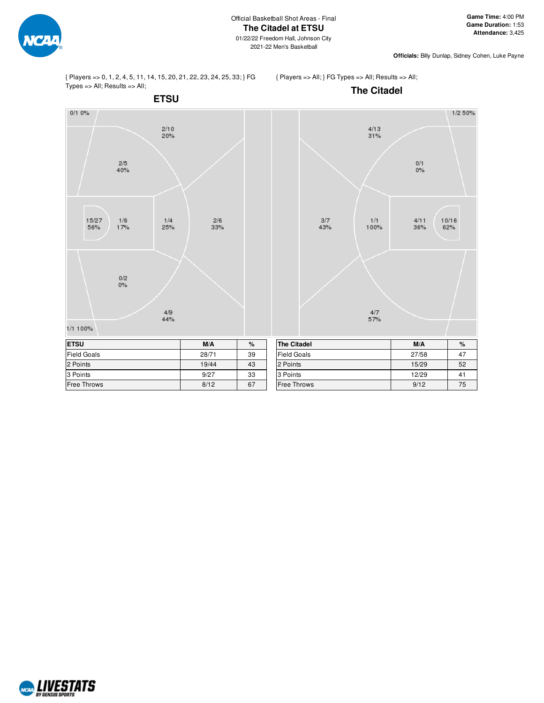

**Officials:** Billy Dunlap, Sidney Cohen, Luke Payne

{ Players => 0, 1, 2, 4, 5, 11, 14, 15, 20, 21, 22, 23, 24, 25, 33; } FG Types => All; Results => All;

{ Players => All; } FG Types => All; Results => All;



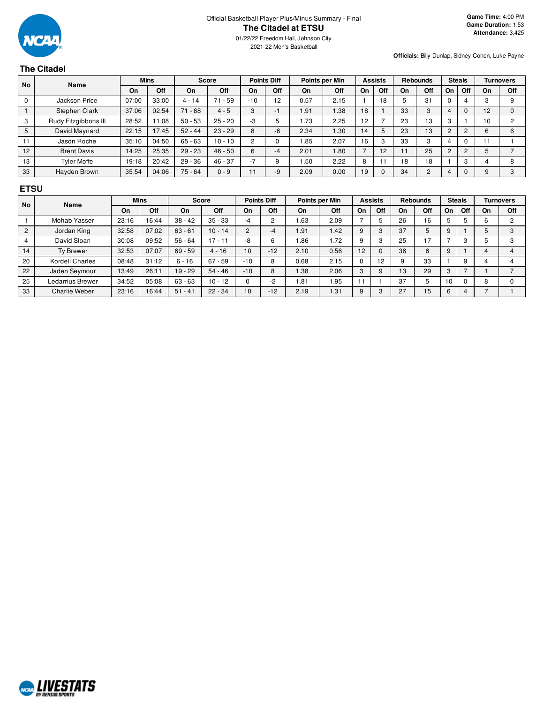

01/22/22 Freedom Hall, Johnson City 2021-22 Men's Basketball

**Officials:** Billy Dunlap, Sidney Cohen, Luke Payne

# **The Citadel**

| <b>No</b> | <b>Name</b>          | <b>Mins</b> |       |           | <b>Score</b>   |                | <b>Points Diff</b> |       | Points per Min |    | <b>Assists</b> |    | <b>Rebounds</b> |                | <b>Steals</b>  |    | <b>Turnovers</b> |
|-----------|----------------------|-------------|-------|-----------|----------------|----------------|--------------------|-------|----------------|----|----------------|----|-----------------|----------------|----------------|----|------------------|
|           |                      | On          | Off   | On        | Off            | On             | Off                | On    | Off            | On | Off            | On | Off             | On             | Off            | On | Off              |
|           | Jackson Price        | 07:00       | 33:00 | $4 - 14$  | . 59<br>$71 -$ | $-10$          | 12                 | 0.57  | 2.15           |    | 18             |    | 31              | υ              |                |    |                  |
|           | Stephen Clark        | 37:06       | 02:54 | $71 - 68$ | $4 - 5$        | 3              | -1                 | i .91 | .38            | 18 |                | 33 | 3               | 4              | 0              | 12 |                  |
| 3         | Rudy Fitzgibbons III | 28:52       | 11:08 | $50 - 53$ | $25 - 20$      | $-3$           |                    | .73   | 2.25           | 12 |                | 23 | 13              | 3              |                | 10 | <sup>o</sup>     |
| 5         | David Maynard        | 22:15       | 17:45 | $52 - 44$ | $23 - 29$      | 8              | -6                 | 2.34  | .30            | 14 |                | 23 | 13              | $\overline{2}$ | $\overline{2}$ | ь  | 6                |
|           | Jason Roche          | 35:10       | 04:50 | $65 - 63$ | $10 - 10$      | $\overline{2}$ |                    | .85   | 2.07           | 16 |                | 33 | 3               |                |                |    |                  |
| 12        | <b>Brent Davis</b>   | 14:25       | 25:35 | $29 - 23$ | $46 - 50$      | 6              | -4                 | 2.01  | .80            |    | 12             |    | 25              | $\overline{2}$ | C              |    |                  |
| 13        | Tvler Moffe          | 19:18       | 20:42 | $29 - 36$ | $46 - 37$      | $-7$           | 9                  | 1.50  | 2.22           | 8  |                | 18 | 18              |                | 3              |    | 8                |
| 33        | Hayden Brown         | 35:54       | 04:06 | $75 - 64$ | $0 - 9$        | 11             | -9                 | 2.09  | 0.00           | 19 |                | 34 | $\overline{2}$  |                | $\Omega$       |    | $\Omega$         |

### **ETSU**

| <b>No</b> | <b>Name</b>          | <b>Mins</b> |       | <b>Score</b> |             | <b>Points Diff</b> |       | Points per Min |      | <b>Assists</b> |     | <b>Rebounds</b> |     | <b>Steals</b> |     | <b>Turnovers</b> |     |
|-----------|----------------------|-------------|-------|--------------|-------------|--------------------|-------|----------------|------|----------------|-----|-----------------|-----|---------------|-----|------------------|-----|
|           |                      | On          | Off   | On           | Off         | On                 | Off   | On             | Off  | On             | Off | On              | Off | On            | Off | On               | Off |
|           | Mohab Yasser         | 23:16       | 16:44 | $38 - 42$    | $35 - 33$   | -4                 | 2     | .63            | 2.09 |                | 5   | 26              | 16  | 5             |     | 6                |     |
| 2         | Jordan King          | 32:58       | 07:02 | $63 - 61$    | $10 - 14$   | $\overline{2}$     | -4    | 1.91           | 1.42 | 9              |     | 37              | 5   | 9             |     |                  | 3   |
|           | David Sloan          | 30:08       | 09:52 | $56 - 64$    | $17 - 11$   | -8                 | 6     | 86.1           | 1.72 | 9              |     | 25              | 17  |               |     |                  | 3   |
| 14        | <b>Tv Brewer</b>     | 32:53       | 07:07 | $69 - 59$    | $4 - 16$    | 10                 | $-12$ | 2.10           | 0.56 | 12             |     | 36              | 6   | 9             |     |                  |     |
| 20        | Kordell Charles      | 08:48       | 31:12 | $6 - 16$     | $-59$<br>67 | $-10$              | 8     | 0.68           | 2.15 |                | 12  | 9               | 33  |               | 9   |                  |     |
| 22        | Jaden Seymour        | 13:49       | 26:11 | $19 - 29$    | $54 - 46$   | $-10$              | 8     | 1.38           | 2.06 | $\sim$<br>з    | 9   | 13              | 29  | 3             |     |                  |     |
| 25        | Ledarrius Brewer     | 34:52       | 05:08 | $63 - 63$    | $10 - 12$   |                    | $-2$  | i 81           | .95  |                |     | 37              | 5   | 10            |     |                  |     |
| 33        | <b>Charlie Weber</b> | 23:16       | 16:44 | $51 - 41$    | $22 - 34$   | 10                 | $-12$ | 2.19           | 1.31 | 9              | 3   | 27              | 15  | 6             |     |                  |     |

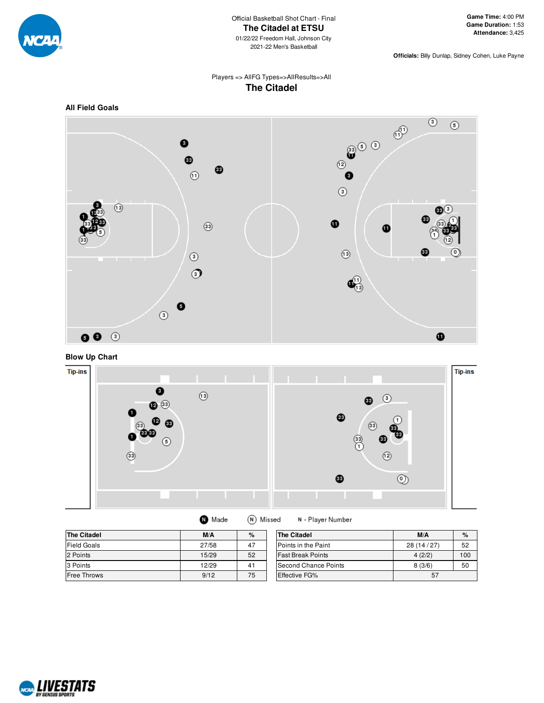

**Officials:** Billy Dunlap, Sidney Cohen, Luke Payne

# Players => AllFG Types=>AllResults=>All **The Citadel**









| <b>The Citadel</b> | M/A   | $\%$ | <b>The Citadel</b>       | M/A       | $\%$ |
|--------------------|-------|------|--------------------------|-----------|------|
| <b>Field Goals</b> | 27/58 | 47   | Points in the Paint      | 28(14/27) | 52   |
| 2 Points           | 15/29 | 52   | <b>Fast Break Points</b> | 4(2/2)    | 100  |
| 3 Points           | 12/29 | 41   | Second Chance Points     | 8(3/6)    | 50   |
| <b>Free Throws</b> | 9/12  | 75   | Effective FG%            | 57        |      |

(N) Missed

N - Player Number

**O** Made

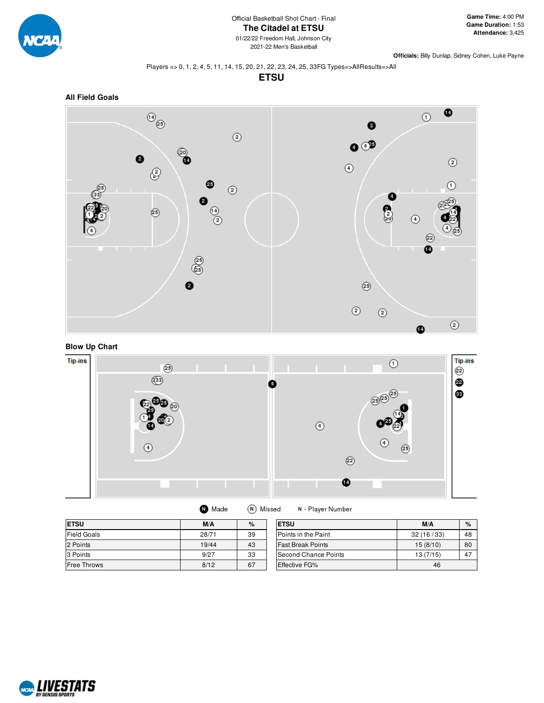

**Officials:** Billy Dunlap, Sidney Cohen, Luke Payne

#### Players => 0, 1, 2, 4, 5, 11, 14, 15, 20, 21, 22, 23, 24, 25, 33FG Types=>AllResults=>All

**ETSU**





# **Blow Up Chart**



| Made | (N) Misse |  |
|------|-----------|--|
|      |           |  |

d N - Player Number

| <b>ETSU</b>        | M/A   | %  | <b>ETSU</b>              | M/A       | $\%$ |
|--------------------|-------|----|--------------------------|-----------|------|
| <b>Field Goals</b> | 28/71 | 39 | Points in the Paint      | 32(16/33) | 48   |
| 2 Points           | 19/44 | 43 | <b>Fast Break Points</b> | 15(8/10)  | 80   |
| 3 Points           | 9/27  | 33 | Second Chance Points     | 13(7/15)  | 47   |
| <b>Free Throws</b> | 8/12  | 67 | <b>Effective FG%</b>     | 46        |      |

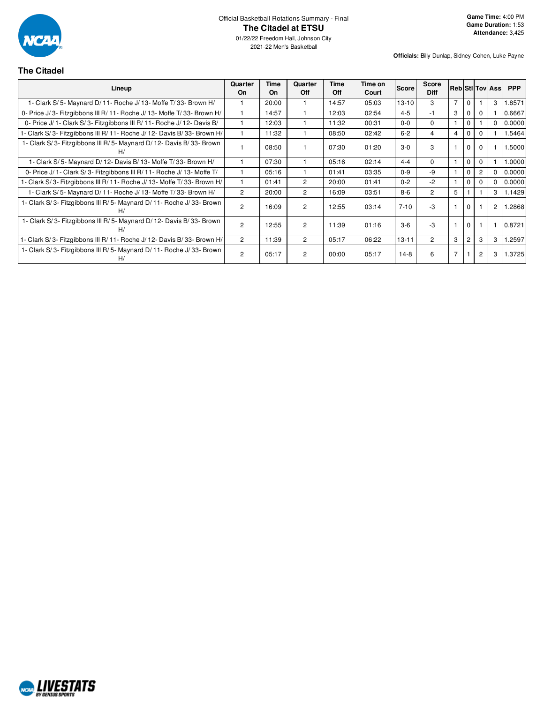

01/22/22 Freedom Hall, Johnson City 2021-22 Men's Basketball

**Officials:** Billy Dunlap, Sidney Cohen, Luke Payne

# **The Citadel**

| Lineup                                                                   | Quarter<br><b>On</b> | <b>Time</b><br><b>On</b> | Quarter<br>Off | Time<br><b>Off</b> | Time on<br>Court | Score     | <b>Score</b><br><b>Diff</b> |                |                |          | <b>Reb Stil Tov Ass</b> | <b>PPP</b> |
|--------------------------------------------------------------------------|----------------------|--------------------------|----------------|--------------------|------------------|-----------|-----------------------------|----------------|----------------|----------|-------------------------|------------|
| 1- Clark S/5- Maynard D/11- Roche J/13- Moffe T/33- Brown H/             |                      | 20:00                    |                | 14:57              | 05:03            | $13 - 10$ | 3                           | $\overline{7}$ | $\Omega$       |          | 3                       | 1.8571     |
| 0- Price J/3- Fitzgibbons III R/11- Roche J/13- Moffe T/33- Brown H/     |                      | 14:57                    |                | 12:03              | 02:54            | $4 - 5$   | -1                          | 3              | $\mathbf 0$    |          |                         | 0.6667     |
| 0- Price J/ 1- Clark S/ 3- Fitzgibbons III R/ 11- Roche J/ 12- Davis B/  |                      | 12:03                    |                | 11:32              | 00:31            | $0-0$     | $\Omega$                    |                | 0              |          | $\Omega$                | 0.0000     |
| 1- Clark S/3- Fitzgibbons III R/11- Roche J/12- Davis B/33- Brown H/     |                      | 11:32                    |                | 08:50              | 02:42            | $6 - 2$   | 4                           | $\overline{4}$ | 0              | 0        |                         | 5464       |
| 1- Clark S/3- Fitzgibbons III R/5- Maynard D/12- Davis B/33- Brown<br>H/ |                      | 08:50                    |                | 07:30              | 01:20            | $3-0$     | 3                           |                | $\mathbf 0$    | $\Omega$ |                         | .5000      |
| 1- Clark S/5- Maynard D/12- Davis B/13- Moffe T/33- Brown H/             |                      | 07:30                    |                | 05:16              | 02:14            | $4 - 4$   | $\Omega$                    |                | $\mathbf{0}$   | $\Omega$ |                         | 0000.1     |
| 0- Price J/ 1- Clark S/ 3- Fitzgibbons III R/ 11- Roche J/ 13- Moffe T/  |                      | 05:16                    |                | 01:41              | 03:35            | $0 - 9$   | -9                          |                | 0              | 2        | 0                       | 0.0000     |
| 1- Clark S/3- Fitzgibbons III R/11- Roche J/13- Moffe T/33- Brown H/     |                      | 01:41                    | $\overline{c}$ | 20:00              | 01:41            | $0 - 2$   | $-2$                        |                | $\mathbf 0$    | 0        | 0                       | 0.0000     |
| 1- Clark S/5- Maynard D/11- Roche J/13- Moffe T/33- Brown H/             | $\overline{2}$       | 20:00                    | $\overline{2}$ | 16:09              | 03:51            | $8 - 6$   | $\mathbf{2}^{\circ}$        | 5              |                |          | 3                       | 1.1429     |
| 1- Clark S/3- Fitzgibbons III R/5- Maynard D/11- Roche J/33- Brown<br>H/ | $\mathcal{P}$        | 16:09                    | $\overline{2}$ | 12:55              | 03:14            | $7 - 10$  | $-3$                        |                | $\Omega$       |          | $\overline{c}$          | .2868      |
| 1- Clark S/3- Fitzgibbons III R/5- Maynard D/12- Davis B/33- Brown<br>H/ | $\overline{2}$       | 12:55                    | $\overline{2}$ | 11:39              | 01:16            | $3-6$     | -3                          |                | $\mathbf{0}$   |          |                         | 0.8721     |
| 1- Clark S/3- Fitzgibbons III R/11- Roche J/12- Davis B/33- Brown H/     | $\overline{2}$       | 11:39                    | $\overline{2}$ | 05:17              | 06:22            | $13 - 11$ | $\mathbf{2}^{\circ}$        | 3              | $\overline{2}$ | 3        | 3                       | .2597      |
| 1- Clark S/3- Fitzgibbons III R/5- Maynard D/11- Roche J/33- Brown<br>H/ | $\mathfrak{p}$       | 05:17                    | $\overline{2}$ | 00:00              | 05:17            | $14-8$    | 6                           | $\overline{7}$ |                | 2        | 3                       | 1.3725     |

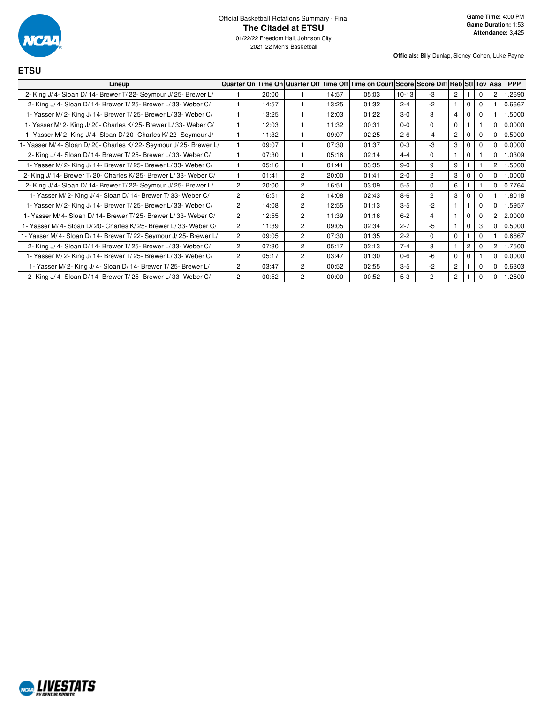

**ETSU**

01/22/22 Freedom Hall, Johnson City 2021-22 Men's Basketball

| Lineup                                                              |                |       |                |       | Quarter On Time On Quarter Off Time Off Time on Court Score Score Diff Reb Sti Tov Ass |         |                |                |                |          |                | <b>PPP</b> |
|---------------------------------------------------------------------|----------------|-------|----------------|-------|----------------------------------------------------------------------------------------|---------|----------------|----------------|----------------|----------|----------------|------------|
| 2- King J/ 4- Sloan D/ 14- Brewer T/ 22- Seymour J/ 25- Brewer L/   |                | 20:00 |                | 14:57 | 05:03                                                                                  | $10-13$ | $-3$           | $\overline{2}$ |                | 0        | 2              | .2690      |
| 2- King J/ 4- Sloan D/ 14- Brewer T/ 25- Brewer L/ 33- Weber C/     |                | 14:57 |                | 13:25 | 01:32                                                                                  | $2 - 4$ | $-2$           |                | $\mathbf 0$    | 0        |                | 0.6667     |
| 1- Yasser M/2- King J/14- Brewer T/25- Brewer L/33- Weber C/        |                | 13:25 |                | 12:03 | 01:22                                                                                  | $3 - 0$ | 3              | $\overline{4}$ | $\Omega$       | 0        |                | 1.5000     |
| 1- Yasser M/2- King J/20- Charles K/25- Brewer L/33- Weber C/       |                | 12:03 |                | 11:32 | 00:31                                                                                  | $0 - 0$ | $\Omega$       | $\Omega$       |                |          | $\Omega$       | 0.0000     |
| 1- Yasser M/2- King J/4- Sloan D/20- Charles K/22- Seymour J/       |                | 11:32 |                | 09:07 | 02:25                                                                                  | $2 - 6$ | -4             | $\overline{2}$ |                |          | $\Omega$       | 0.5000     |
| - Yasser M/ 4- Sloan D/ 20- Charles K/ 22- Seymour J/ 25- Brewer L/ |                | 09:07 |                | 07:30 | 01:37                                                                                  | $0 - 3$ | $-3$           | 3              | $\Omega$       |          | $\Omega$       | 0.0000     |
| 2- King J/ 4- Sloan D/ 14- Brewer T/ 25- Brewer L/ 33- Weber C/     |                | 07:30 |                | 05:16 | 02:14                                                                                  | $4 - 4$ | $\Omega$       | $\overline{1}$ | $\mathbf 0$    |          | $\mathbf 0$    | 1.0309     |
| 1- Yasser M/2- King J/14- Brewer T/25- Brewer L/33- Weber C/        |                | 05:16 |                | 01:41 | 03:35                                                                                  | $9 - 0$ | 9              | 9              |                |          | $\overline{2}$ | .5000      |
| 2- King J/ 14- Brewer T/ 20- Charles K/ 25- Brewer L/ 33- Weber C/  |                | 01:41 | $\overline{2}$ | 20:00 | 01:41                                                                                  | $2 - 0$ | $\overline{2}$ | 3              | $\Omega$       | 0        | $\Omega$       | 1.0000     |
| 2- King J/ 4- Sloan D/ 14- Brewer T/ 22- Seymour J/ 25- Brewer L/   | $\overline{c}$ | 20:00 | $\overline{2}$ | 16:51 | 03:09                                                                                  | $5-5$   | $\Omega$       | 6              |                |          | $\Omega$       | 0.7764     |
| 1- Yasser M/2- King J/4- Sloan D/14- Brewer T/33- Weber C/          | $\overline{2}$ | 16:51 | $\overline{2}$ | 14:08 | 02:43                                                                                  | $8 - 6$ | $\overline{2}$ | 3              |                | 0        |                | 1.8018     |
| 1- Yasser M/2- King J/14- Brewer T/25- Brewer L/33- Weber C/        | $\overline{c}$ | 14:08 | $\overline{2}$ | 12:55 | 01:13                                                                                  | $3 - 5$ | $-2$           | $\overline{1}$ |                |          | $\Omega$       | 1.5957     |
| 1- Yasser M/ 4- Sloan D/ 14- Brewer T/ 25- Brewer L/ 33- Weber C/   | $\overline{2}$ | 12:55 | $\overline{2}$ | 11:39 | 01:16                                                                                  | $6 - 2$ | 4              | $\mathbf{1}$   | $\mathbf 0$    | 0        | $\overline{2}$ | 2.0000     |
| 1- Yasser M/4- Sloan D/20- Charles K/25- Brewer L/33- Weber C/      | $\overline{2}$ | 11:39 | $\overline{2}$ | 09:05 | 02:34                                                                                  | $2 - 7$ | $-5$           | $\overline{1}$ | $\Omega$       | 3        | $\Omega$       | 0.5000     |
| - Yasser M/4- Sloan D/14- Brewer T/22- Seymour J/25- Brewer L/      | $\overline{c}$ | 09:05 | $\overline{2}$ | 07:30 | 01:35                                                                                  | $2 - 2$ | $\Omega$       | $\mathbf 0$    |                | $\Omega$ |                | 0.6667     |
| 2- King J/ 4- Sloan D/ 14- Brewer T/ 25- Brewer L/ 33- Weber C/     | $\overline{c}$ | 07:30 | $\overline{2}$ | 05:17 | 02:13                                                                                  | $7 - 4$ | 3              | $\overline{1}$ | $\overline{2}$ | 0        | 2              | 1.7500     |
| 1- Yasser M/2- King J/14- Brewer T/25- Brewer L/33- Weber C/        | $\overline{c}$ | 05:17 | $\overline{2}$ | 03:47 | 01:30                                                                                  | $0 - 6$ | $-6$           | $\Omega$       | $\Omega$       |          | $\mathbf 0$    | 0.0000     |
| 1- Yasser M/2- King J/4- Sloan D/14- Brewer T/25- Brewer L/         | $\overline{c}$ | 03:47 | $\overline{2}$ | 00:52 | 02:55                                                                                  | $3 - 5$ | $-2$           | $\overline{2}$ |                | 0        | $\mathbf 0$    | 0.6303     |
| 2- King J/ 4- Sloan D/ 14- Brewer T/ 25- Brewer L/ 33- Weber C/     | $\overline{c}$ | 00:52 | $\overline{2}$ | 00:00 | 00:52                                                                                  | $5-3$   | $\overline{c}$ | $\overline{2}$ |                |          | $\Omega$       | 1.2500     |

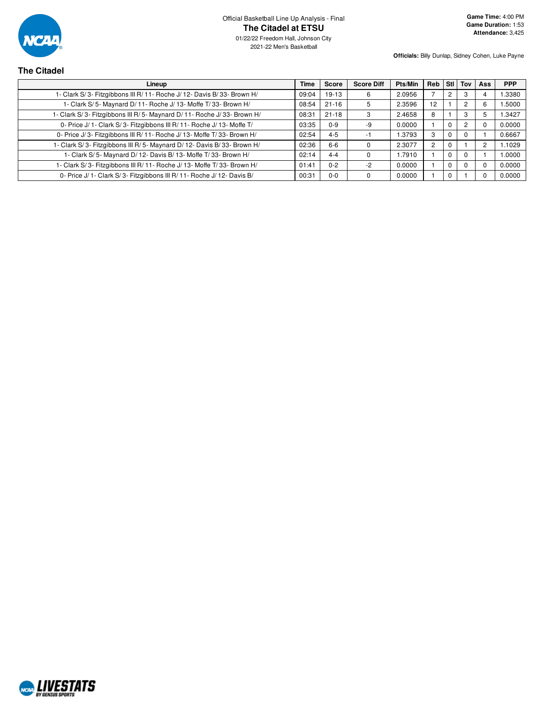

**The Citadel**

01/22/22 Freedom Hall, Johnson City 2021-22 Men's Basketball

**Officials:** Billy Dunlap, Sidney Cohen, Luke Payne

**Game Time:** 4:00 PM **Game Duration:** 1:53 **Attendance:** 3,425

#### **Lineup Time Score Score Diff Pts/Min Reb Stl Tov Ass PPP** 1- Clark S/ 3- Fitzgibbons III R/ 11- Roche J/ 12- Davis B/ 33- Brown H/ 09:04 19-13 6 2.0956 7 2 3 4 1.3380 1- Clark S/ 5- Maynard D/ 11- Roche J/ 13- Moffe T/ 33- Brown H/ 08:54 21-16 5 2.3596 12 1 2 6 1.5000 1- Clark S/ 3- Fitzgibbons III R/ 5- Maynard D/ 11- Roche J/ 33- Brown H/ 08:31 | 21-18 | 3 | 2.4658 | 8 | 1 | 3 | 5 | 1.3427 0- Price J/ 1 - Clark S/ 3- Fitzgibbons III R/ 11 - Roche J/ 13 - Moffe T/ 03:35 0-9 -9 0.0000 1 0 2 0 0.0000 0- Price J/ 3- Fitzgibbons III R/ 11- Roche J/ 13- Moffe T/ 33- Brown H/ 02:54 4-5 -1 1.3793 3 0 0 1 0 1 0.6667 1- Clark S/3- Fitzgibbons III R/ 5- Maynard D/ 12- Davis B/ 33- Brown H/ 02:36 6-6 0 0 2.3077 2 0 1 2 1.1029 1- Clark S/ 5- Maynard D/ 12- Davis B/ 13- Moffe T/ 33- Brown H/ 02:14 4-4 0 1.7910 1 0 0 1 1.0000 1- Clark S/ 3- Fitzgibbons III R/ 11- Roche J/ 13- Moffe T/ 33- Brown H/ 01:41 0-2 -2 0.0000 1 0 0 0 0.0000 0- Price J/ 1- Clark S/ 3- Fitzgibbons III R/ 11- Roche J/ 12- Davis B/ 00:31 0-0 00:31 00:00 0 0 0.0000 1 0 1 0 1 0 0.0000